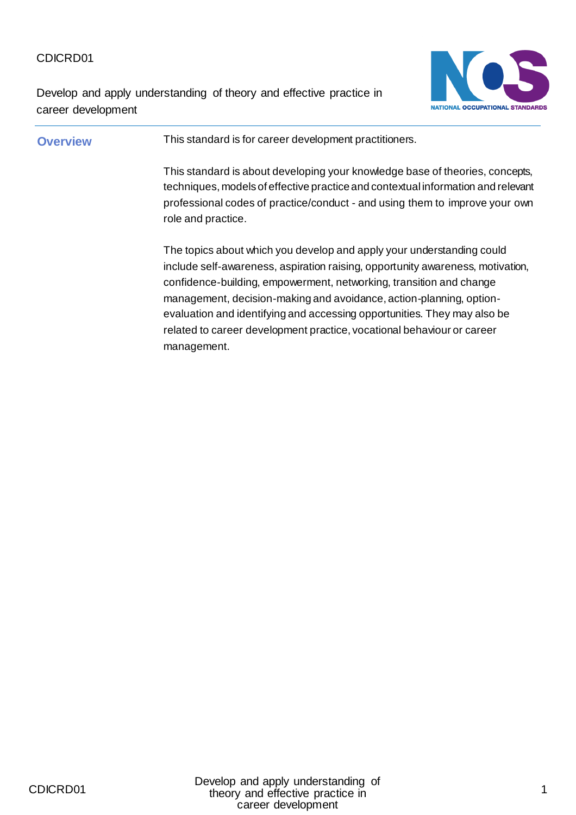Develop and apply understanding of theory and effective practice in career development



## **Overview** This standard is for career development practitioners. This standard is about developing your knowledge base of theories, concepts, techniques, models of effective practice and contextual information and relevant professional codes of practice/conduct - and using them to improve your own role and practice. The topics about which you develop and apply your understanding could include self-awareness, aspiration raising, opportunity awareness, motivation, confidence-building, empowerment, networking, transition and change management, decision-making and avoidance, action-planning, optionevaluation and identifying and accessing opportunities. They may also be related to career development practice, vocational behaviour or career management.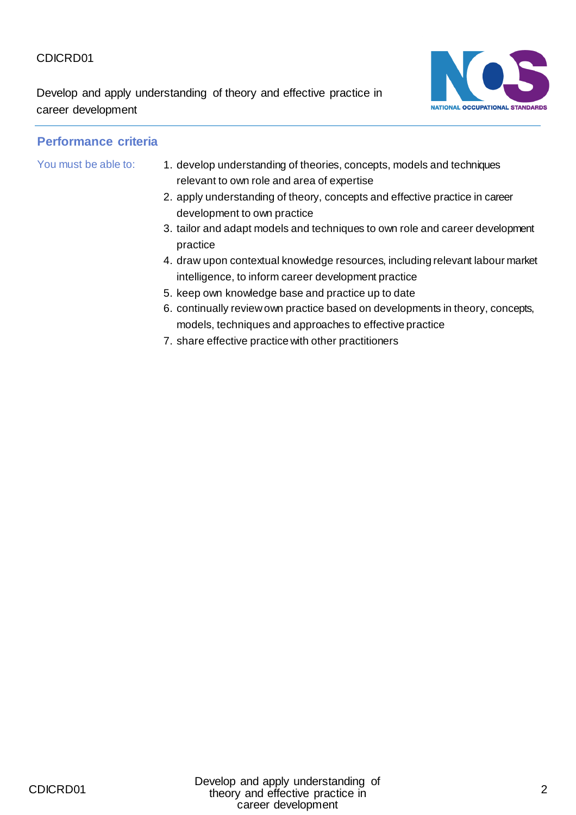Develop and apply understanding of theory and effective practice in career development



- You must be able to: 1. develop understanding of theories, concepts, models and techniques relevant to own role and area of expertise
	- 2. apply understanding of theory, concepts and effective practice in career development to own practice
	- 3. tailor and adapt models and techniques to own role and career development practice
	- 4. draw upon contextual knowledge resources, including relevant labour market intelligence, to inform career development practice
	- 5. keep own knowledge base and practice up to date
	- 6. continually review own practice based on developments in theory, concepts, models, techniques and approaches to effective practice
	- 7. share effective practice with other practitioners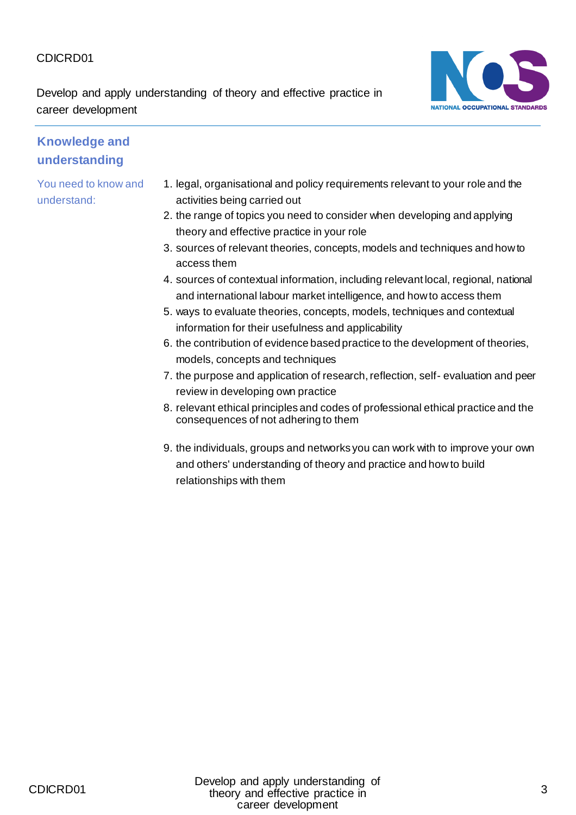Develop and apply understanding of theory and effective practice in career development



#### **Knowledge and understanding**

- 1. legal, organisational and policy requirements relevant to your role and the activities being carried out
- 2. the range of topics you need to consider when developing and applying theory and effective practice in your role
- 3. sources of relevant theories, concepts, models and techniques and how to access them
- 4. sources of contextual information, including relevant local, regional, national and international labour market intelligence, and how to access them
- 5. ways to evaluate theories, concepts, models, techniques and contextual information for their usefulness and applicability
- 6. the contribution of evidence based practice to the development of theories, models, concepts and techniques
- 7. the purpose and application of research, reflection, self- evaluation and peer review in developing own practice
- 8. relevant ethical principles and codes of professional ethical practice and the consequences of not adhering to them
- 9. the individuals, groups and networks you can work with to improve your own and others' understanding of theory and practice and how to build relationships with them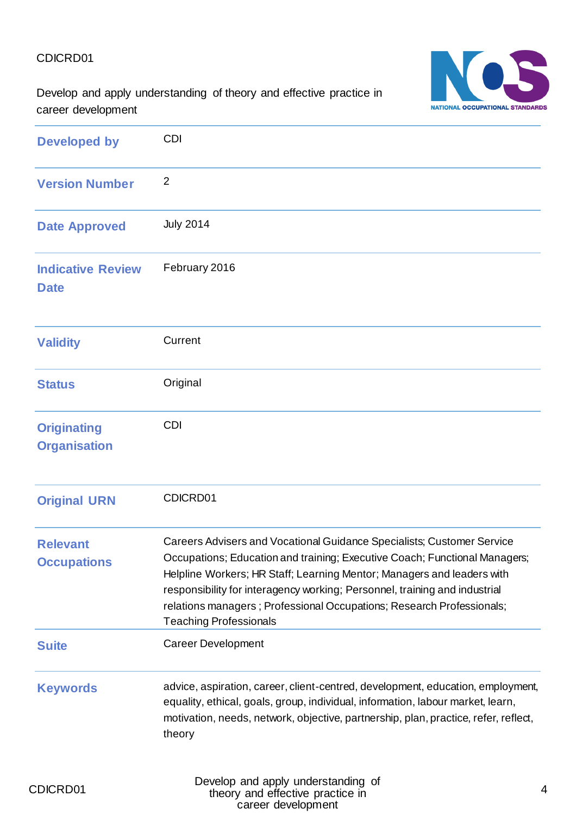

Develop and apply understanding of theory and effective practice in career development

| <b>Developed by</b>                       | <b>CDI</b>                                                                                                                                                                                                                                                                                                                                                                                                             |
|-------------------------------------------|------------------------------------------------------------------------------------------------------------------------------------------------------------------------------------------------------------------------------------------------------------------------------------------------------------------------------------------------------------------------------------------------------------------------|
| <b>Version Number</b>                     | $\overline{2}$                                                                                                                                                                                                                                                                                                                                                                                                         |
| <b>Date Approved</b>                      | <b>July 2014</b>                                                                                                                                                                                                                                                                                                                                                                                                       |
| <b>Indicative Review</b><br><b>Date</b>   | February 2016                                                                                                                                                                                                                                                                                                                                                                                                          |
| <b>Validity</b>                           | Current                                                                                                                                                                                                                                                                                                                                                                                                                |
| <b>Status</b>                             | Original                                                                                                                                                                                                                                                                                                                                                                                                               |
| <b>Originating</b><br><b>Organisation</b> | <b>CDI</b>                                                                                                                                                                                                                                                                                                                                                                                                             |
| <b>Original URN</b>                       | CDICRD01                                                                                                                                                                                                                                                                                                                                                                                                               |
| <b>Relevant</b><br><b>Occupations</b>     | Careers Advisers and Vocational Guidance Specialists; Customer Service<br>Occupations; Education and training; Executive Coach; Functional Managers;<br>Helpline Workers; HR Staff; Learning Mentor; Managers and leaders with<br>responsibility for interagency working; Personnel, training and industrial<br>relations managers; Professional Occupations; Research Professionals;<br><b>Teaching Professionals</b> |
| <b>Suite</b>                              | <b>Career Development</b>                                                                                                                                                                                                                                                                                                                                                                                              |
| <b>Keywords</b>                           | advice, aspiration, career, client-centred, development, education, employment,<br>equality, ethical, goals, group, individual, information, labour market, learn,<br>motivation, needs, network, objective, partnership, plan, practice, refer, reflect,<br>theory                                                                                                                                                    |
| CDICRD01                                  | Develop and apply understanding of<br>theory and effective practice in                                                                                                                                                                                                                                                                                                                                                 |

career development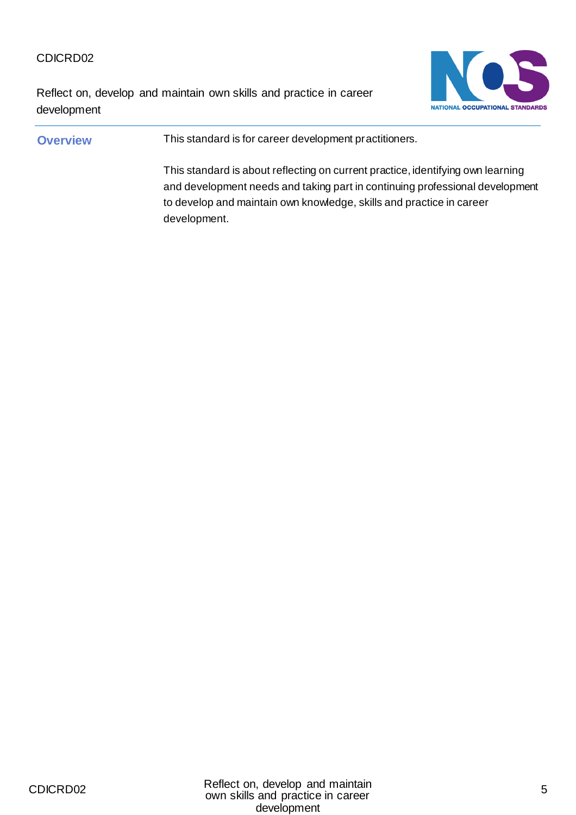Reflect on, develop and maintain own skills and practice in career development



#### **Overview** This standard is for career development practitioners.

This standard is about reflecting on current practice, identifying own learning and development needs and taking part in continuing professional development to develop and maintain own knowledge, skills and practice in career development.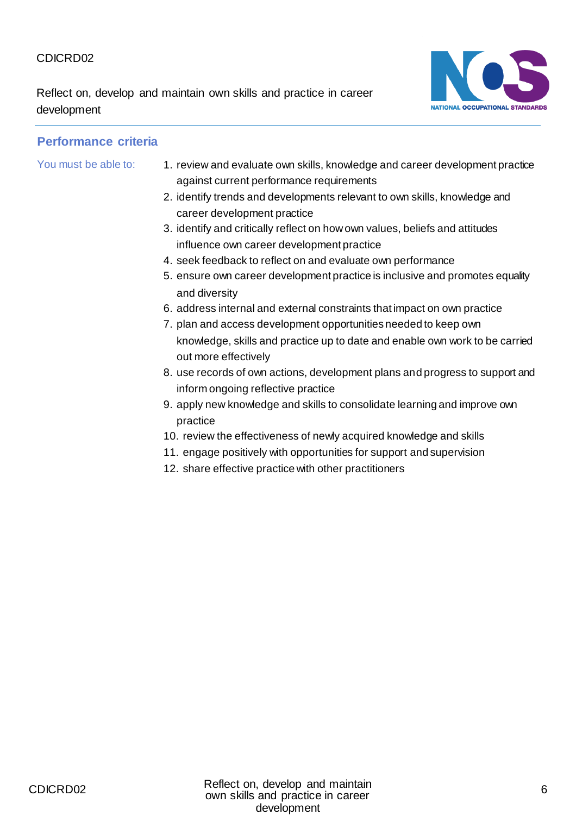Reflect on, develop and maintain own skills and practice in career development



- You must be able to: 1. review and evaluate own skills, knowledge and career development practice against current performance requirements
	- 2. identify trends and developments relevant to own skills, knowledge and career development practice
	- 3. identify and critically reflect on how own values, beliefs and attitudes influence own career development practice
	- 4. seek feedback to reflect on and evaluate own performance
	- 5. ensure own career development practice is inclusive and promotes equality and diversity
	- 6. address internal and external constraints that impact on own practice
	- 7. plan and access development opportunities needed to keep own knowledge, skills and practice up to date and enable own work to be carried out more effectively
	- 8. use records of own actions, development plans and progress to support and inform ongoing reflective practice
	- 9. apply new knowledge and skills to consolidate learning and improve own practice
	- 10. review the effectiveness of newly acquired knowledge and skills
	- 11. engage positively with opportunities for support and supervision
	- 12. share effective practice with other practitioners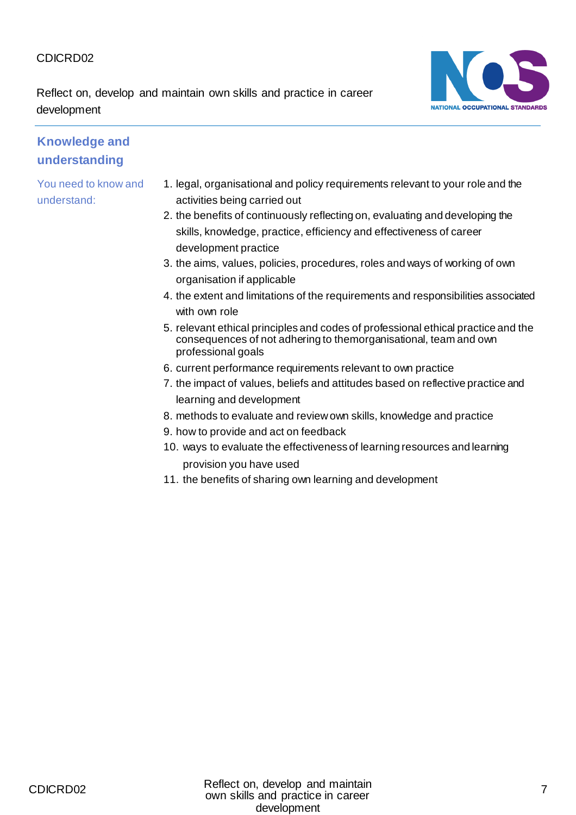Reflect on, develop and maintain own skills and practice in career development



## **Knowledge and understanding**

- 1. legal, organisational and policy requirements relevant to your role and the activities being carried out
- 2. the benefits of continuously reflecting on, evaluating and developing the skills, knowledge, practice, efficiency and effectiveness of career development practice
- 3. the aims, values, policies, procedures, roles and ways of working of own organisation if applicable
- 4. the extent and limitations of the requirements and responsibilities associated with own role
- 5. relevant ethical principles and codes of professional ethical practice and the consequences of not adhering to themorganisational, team and own professional goals
- 6. current performance requirements relevant to own practice
- 7. the impact of values, beliefs and attitudes based on reflective practice and learning and development
- 8. methods to evaluate and review own skills, knowledge and practice
- 9. how to provide and act on feedback
- 10. ways to evaluate the effectiveness of learning resources and learning provision you have used
- 11. the benefits of sharing own learning and development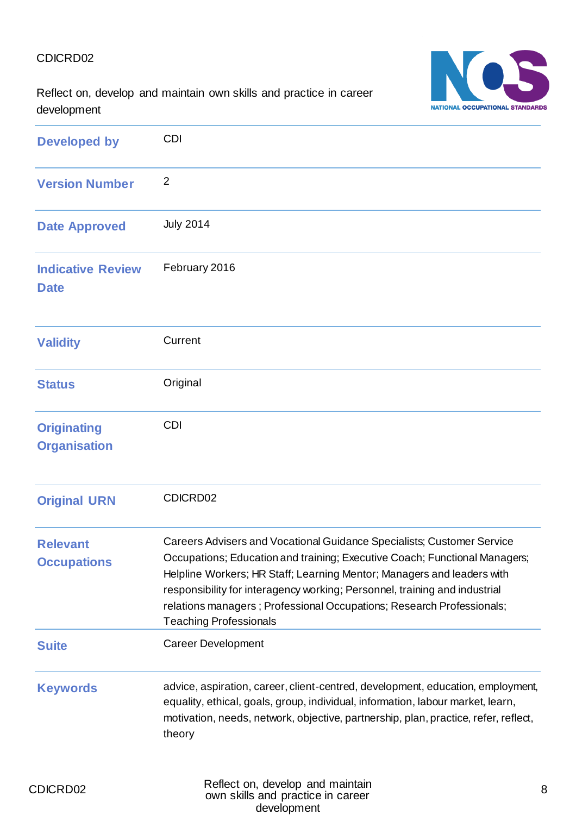NATIONAL OCCUPATIONAL STANDARDS

Reflect on, develop and maintain own skills and practice in career development

| <b>Developed by</b>                       | <b>CDI</b>                                                                                                                                                                                                                                                                                                                                                                                                             |
|-------------------------------------------|------------------------------------------------------------------------------------------------------------------------------------------------------------------------------------------------------------------------------------------------------------------------------------------------------------------------------------------------------------------------------------------------------------------------|
| <b>Version Number</b>                     | $\overline{2}$                                                                                                                                                                                                                                                                                                                                                                                                         |
| <b>Date Approved</b>                      | <b>July 2014</b>                                                                                                                                                                                                                                                                                                                                                                                                       |
| <b>Indicative Review</b><br><b>Date</b>   | February 2016                                                                                                                                                                                                                                                                                                                                                                                                          |
| <b>Validity</b>                           | Current                                                                                                                                                                                                                                                                                                                                                                                                                |
| <b>Status</b>                             | Original                                                                                                                                                                                                                                                                                                                                                                                                               |
| <b>Originating</b><br><b>Organisation</b> | <b>CDI</b>                                                                                                                                                                                                                                                                                                                                                                                                             |
| <b>Original URN</b>                       | CDICRD02                                                                                                                                                                                                                                                                                                                                                                                                               |
| <b>Relevant</b><br><b>Occupations</b>     | Careers Advisers and Vocational Guidance Specialists; Customer Service<br>Occupations; Education and training; Executive Coach; Functional Managers;<br>Helpline Workers; HR Staff; Learning Mentor; Managers and leaders with<br>responsibility for interagency working; Personnel, training and industrial<br>relations managers; Professional Occupations; Research Professionals;<br><b>Teaching Professionals</b> |
| <b>Suite</b>                              | <b>Career Development</b>                                                                                                                                                                                                                                                                                                                                                                                              |
| <b>Keywords</b>                           | advice, aspiration, career, client-centred, development, education, employment,<br>equality, ethical, goals, group, individual, information, labour market, learn,<br>motivation, needs, network, objective, partnership, plan, practice, refer, reflect,<br>theory                                                                                                                                                    |
|                                           | Pofloct on dovelop and maintain                                                                                                                                                                                                                                                                                                                                                                                        |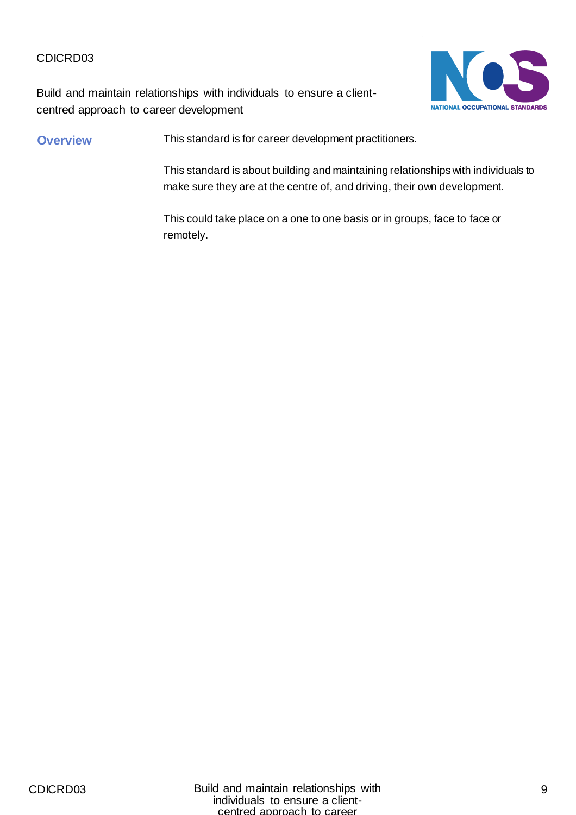Build and maintain relationships with individuals to ensure a clientcentred approach to career development



# **Overview** This standard is for career development practitioners. This standard is about building and maintaining relationships with individuals to make sure they are at the centre of, and driving, their own development. This could take place on a one to one basis or in groups, face to face or remotely.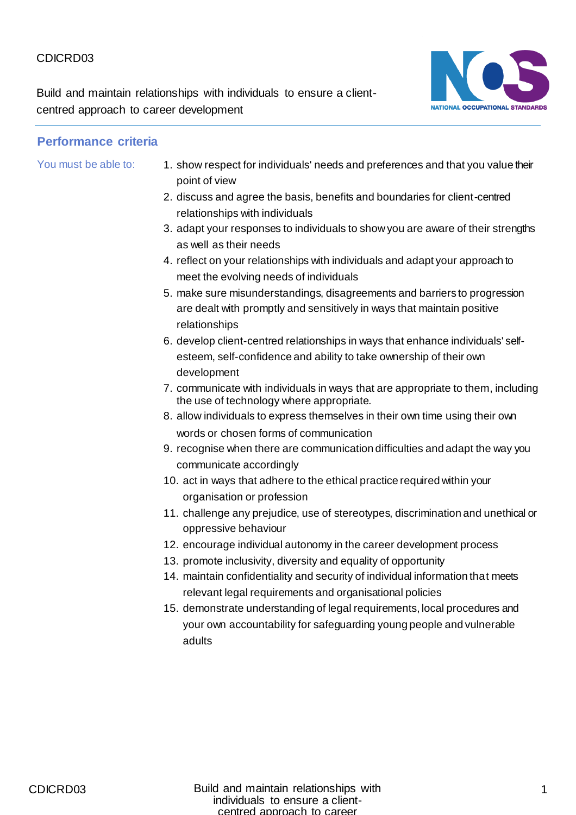Build and maintain relationships with individuals to ensure a clientcentred approach to career development



- You must be able to: 1. show respect for individuals' needs and preferences and that you value their point of view
	- 2. discuss and agree the basis, benefits and boundaries for client-centred relationships with individuals
	- 3. adapt your responses to individuals to show you are aware of their strengths as well as their needs
	- 4. reflect on your relationships with individuals and adapt your approach to meet the evolving needs of individuals
	- 5. make sure misunderstandings, disagreements and barriers to progression are dealt with promptly and sensitively in ways that maintain positive relationships
	- 6. develop client-centred relationships in ways that enhance individuals' selfesteem, self-confidence and ability to take ownership of their own development
	- 7. communicate with individuals in ways that are appropriate to them, including the use of technology where appropriate.
	- 8. allow individuals to express themselves in their own time using their own words or chosen forms of communication
	- 9. recognise when there are communication difficulties and adapt the way you communicate accordingly
	- 10. act in ways that adhere to the ethical practice required within your organisation or profession
	- 11. challenge any prejudice, use of stereotypes, discrimination and unethical or oppressive behaviour
	- 12. encourage individual autonomy in the career development process
	- 13. promote inclusivity, diversity and equality of opportunity
	- 14. maintain confidentiality and security of individual information that meets relevant legal requirements and organisational policies
	- 15. demonstrate understanding of legal requirements, local procedures and your own accountability for safeguarding young people and vulnerable adults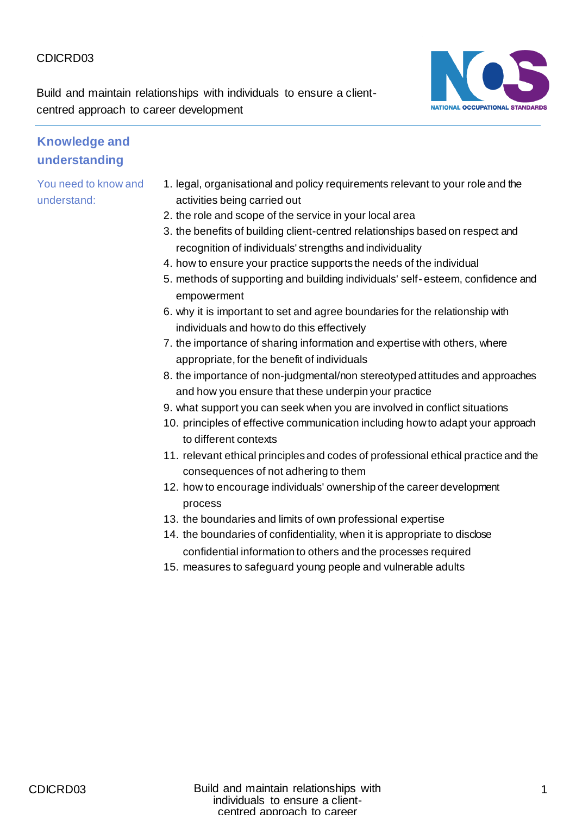Build and maintain relationships with individuals to ensure a clientcentred approach to career development



#### **Knowledge and understanding**

- 1. legal, organisational and policy requirements relevant to your role and the activities being carried out
- 2. the role and scope of the service in your local area
- 3. the benefits of building client-centred relationships based on respect and recognition of individuals' strengths and individuality
- 4. how to ensure your practice supports the needs of the individual
- 5. methods of supporting and building individuals' self- esteem, confidence and empowerment
- 6. why it is important to set and agree boundaries for the relationship with individuals and how to do this effectively
- 7. the importance of sharing information and expertise with others, where appropriate, for the benefit of individuals
- 8. the importance of non-judgmental/non stereotyped attitudes and approaches and how you ensure that these underpin your practice
- 9. what support you can seek when you are involved in conflict situations
- 10. principles of effective communication including how to adapt your approach to different contexts
- 11. relevant ethical principles and codes of professional ethical practice and the consequences of not adhering to them
- 12. how to encourage individuals' ownership of the career development process
- 13. the boundaries and limits of own professional expertise
- 14. the boundaries of confidentiality, when it is appropriate to disclose confidential information to others and the processes required
- 15. measures to safeguard young people and vulnerable adults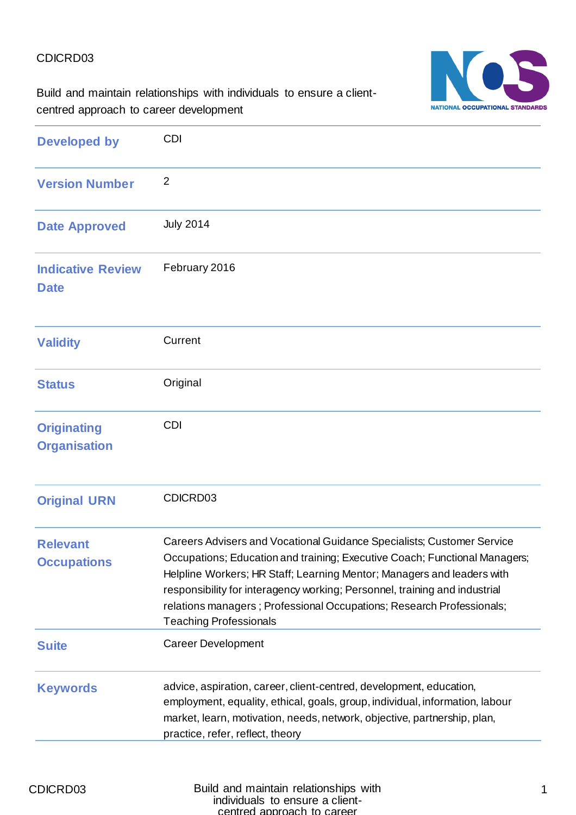NATIONAL OCCUPATIONAL STANDARDS

Build and maintain relationships with individuals to ensure a clientcentred approach to career development

| <b>Developed by</b>                       | <b>CDI</b>                                                                                                                                                                                                                                                                                                                                                                                                             |
|-------------------------------------------|------------------------------------------------------------------------------------------------------------------------------------------------------------------------------------------------------------------------------------------------------------------------------------------------------------------------------------------------------------------------------------------------------------------------|
| <b>Version Number</b>                     | $\overline{2}$                                                                                                                                                                                                                                                                                                                                                                                                         |
| <b>Date Approved</b>                      | <b>July 2014</b>                                                                                                                                                                                                                                                                                                                                                                                                       |
| <b>Indicative Review</b><br><b>Date</b>   | February 2016                                                                                                                                                                                                                                                                                                                                                                                                          |
| <b>Validity</b>                           | Current                                                                                                                                                                                                                                                                                                                                                                                                                |
| <b>Status</b>                             | Original                                                                                                                                                                                                                                                                                                                                                                                                               |
| <b>Originating</b><br><b>Organisation</b> | <b>CDI</b>                                                                                                                                                                                                                                                                                                                                                                                                             |
| <b>Original URN</b>                       | CDICRD03                                                                                                                                                                                                                                                                                                                                                                                                               |
| <b>Relevant</b><br><b>Occupations</b>     | Careers Advisers and Vocational Guidance Specialists; Customer Service<br>Occupations; Education and training; Executive Coach; Functional Managers;<br>Helpline Workers; HR Staff; Learning Mentor; Managers and leaders with<br>responsibility for interagency working; Personnel, training and industrial<br>relations managers; Professional Occupations; Research Professionals;<br><b>Teaching Professionals</b> |
| <b>Suite</b>                              | <b>Career Development</b>                                                                                                                                                                                                                                                                                                                                                                                              |
| <b>Keywords</b>                           | advice, aspiration, career, client-centred, development, education,<br>employment, equality, ethical, goals, group, individual, information, labour<br>market, learn, motivation, needs, network, objective, partnership, plan,<br>practice, refer, reflect, theory                                                                                                                                                    |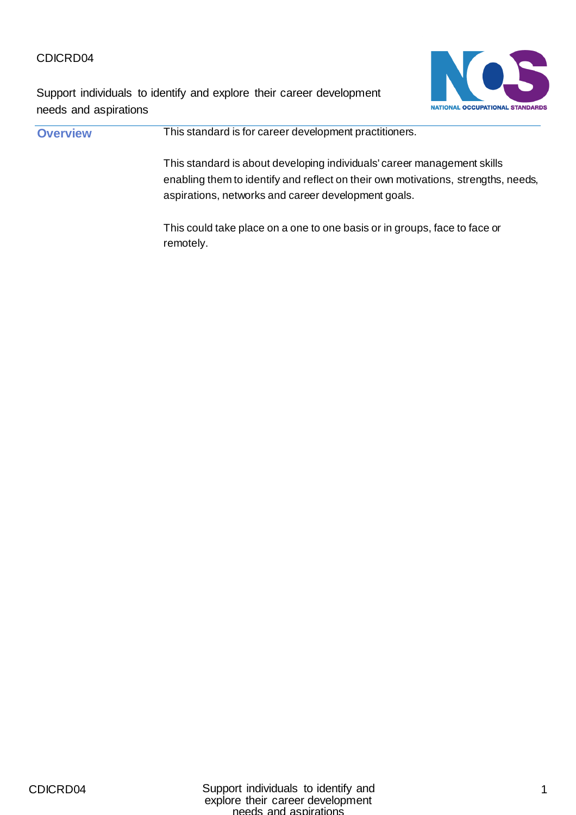Support individuals to identify and explore their career development needs and aspirations



| <b>Overview</b> | This standard is for career development practitioners.                                                                                                                                                              |
|-----------------|---------------------------------------------------------------------------------------------------------------------------------------------------------------------------------------------------------------------|
|                 | This standard is about developing individuals' career management skills<br>enabling them to identify and reflect on their own motivations, strengths, needs,<br>aspirations, networks and career development goals. |
|                 | This could take place on a one to one basis or in groups, face to face or<br>remotely.                                                                                                                              |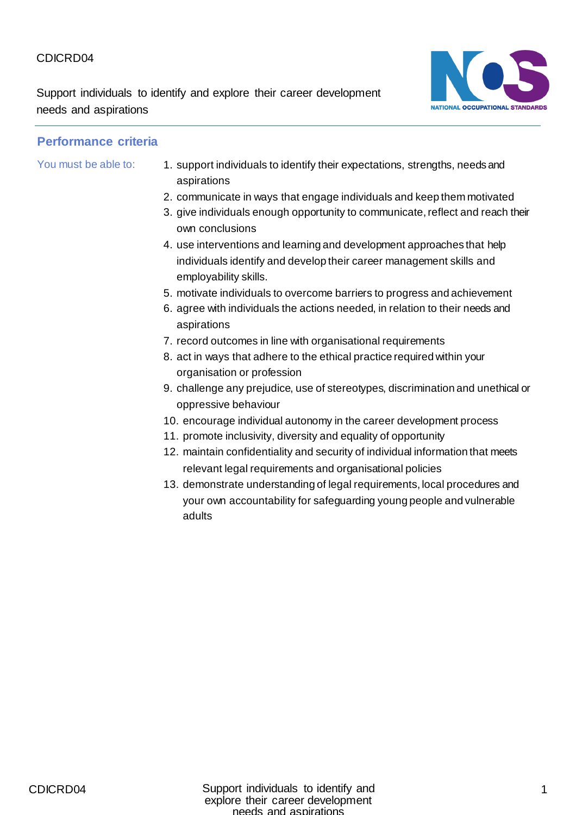Support individuals to identify and explore their career development needs and aspirations



- You must be able to: 1. support individuals to identify their expectations, strengths, needs and aspirations
	- 2. communicate in ways that engage individuals and keep them motivated
	- 3. give individuals enough opportunity to communicate, reflect and reach their own conclusions
	- 4. use interventions and learning and development approaches that help individuals identify and develop their career management skills and employability skills.
	- 5. motivate individuals to overcome barriers to progress and achievement
	- 6. agree with individuals the actions needed, in relation to their needs and aspirations
	- 7. record outcomes in line with organisational requirements
	- 8. act in ways that adhere to the ethical practice required within your organisation or profession
	- 9. challenge any prejudice, use of stereotypes, discrimination and unethical or oppressive behaviour
	- 10. encourage individual autonomy in the career development process
	- 11. promote inclusivity, diversity and equality of opportunity
	- 12. maintain confidentiality and security of individual information that meets relevant legal requirements and organisational policies
	- 13. demonstrate understanding of legal requirements, local procedures and your own accountability for safeguarding young people and vulnerable adults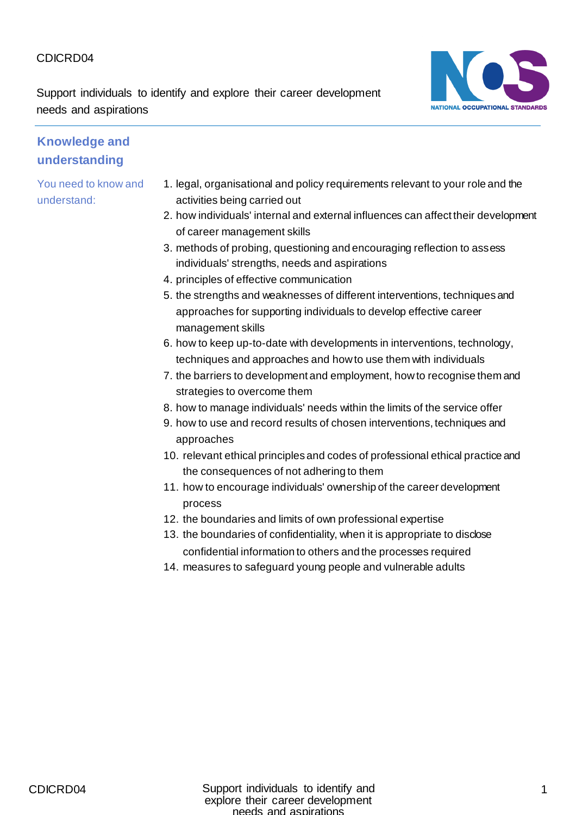Support individuals to identify and explore their career development needs and aspirations



#### **Knowledge and understanding**

- 1. legal, organisational and policy requirements relevant to your role and the activities being carried out
- 2. how individuals' internal and external influences can affect their development of career management skills
- 3. methods of probing, questioning and encouraging reflection to assess individuals' strengths, needs and aspirations
- 4. principles of effective communication
- 5. the strengths and weaknesses of different interventions, techniques and approaches for supporting individuals to develop effective career management skills
- 6. how to keep up-to-date with developments in interventions, technology, techniques and approaches and how to use them with individuals
- 7. the barriers to development and employment, how to recognise them and strategies to overcome them
- 8. how to manage individuals' needs within the limits of the service offer
- 9. how to use and record results of chosen interventions, techniques and approaches
- 10. relevant ethical principles and codes of professional ethical practice and the consequences of not adhering to them
- 11. how to encourage individuals' ownership of the career development process
- 12. the boundaries and limits of own professional expertise
- 13. the boundaries of confidentiality, when it is appropriate to disclose confidential information to others and the processes required
- 14. measures to safeguard young people and vulnerable adults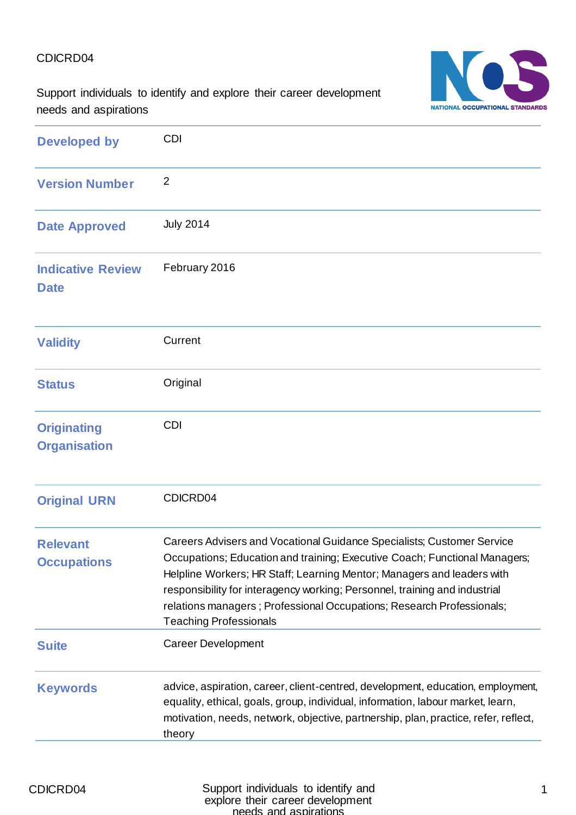NATIONAL OCCUPATIONAL STANDARDS

Support individuals to identify and explore their career development needs and aspirations

| <b>Developed by</b>                       | <b>CDI</b>                                                                                                                                                                                                                                                                                                                                                                                                             |
|-------------------------------------------|------------------------------------------------------------------------------------------------------------------------------------------------------------------------------------------------------------------------------------------------------------------------------------------------------------------------------------------------------------------------------------------------------------------------|
| <b>Version Number</b>                     | $\overline{2}$                                                                                                                                                                                                                                                                                                                                                                                                         |
| <b>Date Approved</b>                      | <b>July 2014</b>                                                                                                                                                                                                                                                                                                                                                                                                       |
| <b>Indicative Review</b><br><b>Date</b>   | February 2016                                                                                                                                                                                                                                                                                                                                                                                                          |
| <b>Validity</b>                           | Current                                                                                                                                                                                                                                                                                                                                                                                                                |
| <b>Status</b>                             | Original                                                                                                                                                                                                                                                                                                                                                                                                               |
| <b>Originating</b><br><b>Organisation</b> | <b>CDI</b>                                                                                                                                                                                                                                                                                                                                                                                                             |
| <b>Original URN</b>                       | CDICRD04                                                                                                                                                                                                                                                                                                                                                                                                               |
| <b>Relevant</b><br><b>Occupations</b>     | Careers Advisers and Vocational Guidance Specialists; Customer Service<br>Occupations; Education and training; Executive Coach; Functional Managers;<br>Helpline Workers; HR Staff; Learning Mentor; Managers and leaders with<br>responsibility for interagency working; Personnel, training and industrial<br>relations managers; Professional Occupations; Research Professionals;<br><b>Teaching Professionals</b> |
| <b>Suite</b>                              | <b>Career Development</b>                                                                                                                                                                                                                                                                                                                                                                                              |
| <b>Keywords</b>                           | advice, aspiration, career, client-centred, development, education, employment,<br>equality, ethical, goals, group, individual, information, labour market, learn,<br>motivation, needs, network, objective, partnership, plan, practice, refer, reflect,<br>theory                                                                                                                                                    |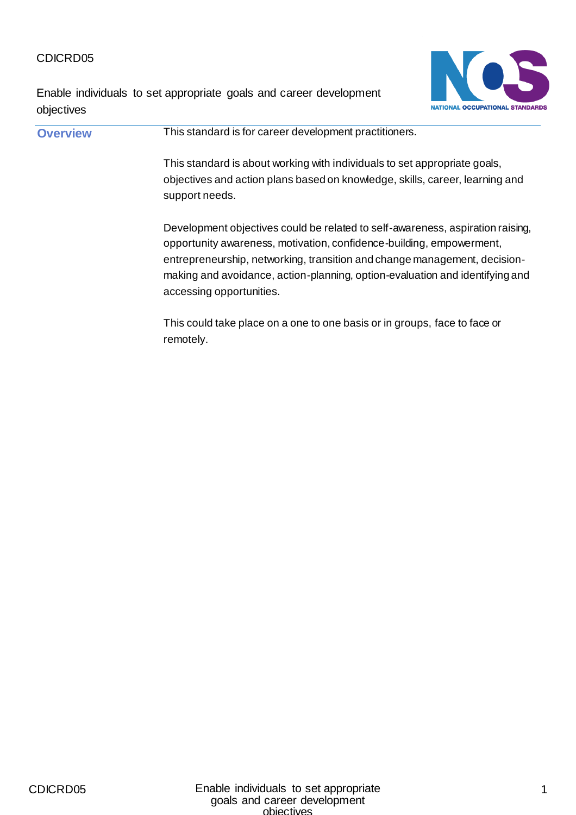Enable individuals to set appropriate goals and career development objectives



**Overview This standard is for career development practitioners.** This standard is about working with individuals to set appropriate goals, objectives and action plans based on knowledge, skills, career, learning and support needs. Development objectives could be related to self-awareness, aspiration raising, opportunity awareness, motivation, confidence-building, empowerment, entrepreneurship, networking, transition and change management, decisionmaking and avoidance, action-planning, option-evaluation and identifying and accessing opportunities.

This could take place on a one to one basis or in groups, face to face or remotely.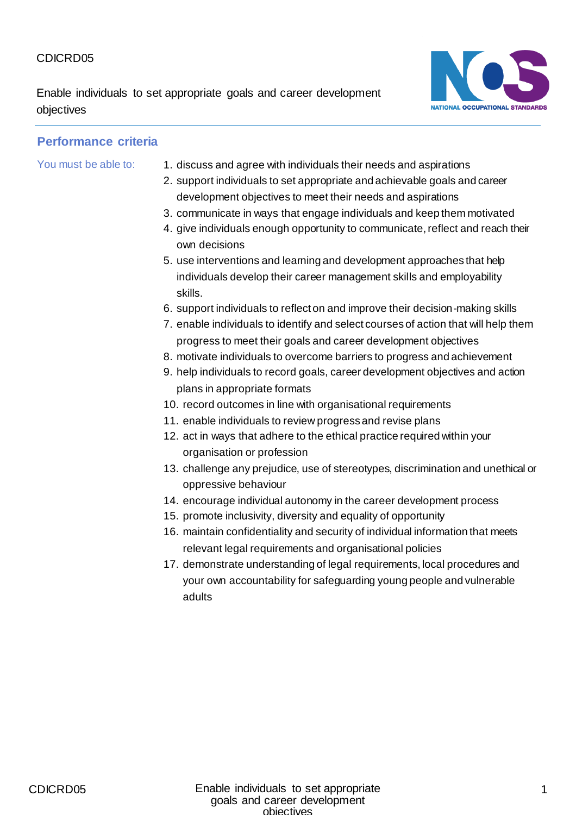Enable individuals to set appropriate goals and career development objectives



- You must be able to: 1. discuss and agree with individuals their needs and aspirations
	- 2. support individuals to set appropriate and achievable goals and career development objectives to meet their needs and aspirations
	- 3. communicate in ways that engage individuals and keep them motivated
	- 4. give individuals enough opportunity to communicate, reflect and reach their own decisions
	- 5. use interventions and learning and development approaches that help individuals develop their career management skills and employability skills.
	- 6. support individuals to reflect on and improve their decision-making skills
	- 7. enable individuals to identify and select courses of action that will help them progress to meet their goals and career development objectives
	- 8. motivate individuals to overcome barriers to progress and achievement
	- 9. help individuals to record goals, career development objectives and action plans in appropriate formats
	- 10. record outcomes in line with organisational requirements
	- 11. enable individuals to review progress and revise plans
	- 12. act in ways that adhere to the ethical practice required within your organisation or profession
	- 13. challenge any prejudice, use of stereotypes, discrimination and unethical or oppressive behaviour
	- 14. encourage individual autonomy in the career development process
	- 15. promote inclusivity, diversity and equality of opportunity
	- 16. maintain confidentiality and security of individual information that meets relevant legal requirements and organisational policies
	- 17. demonstrate understanding of legal requirements, local procedures and your own accountability for safeguarding young people and vulnerable adults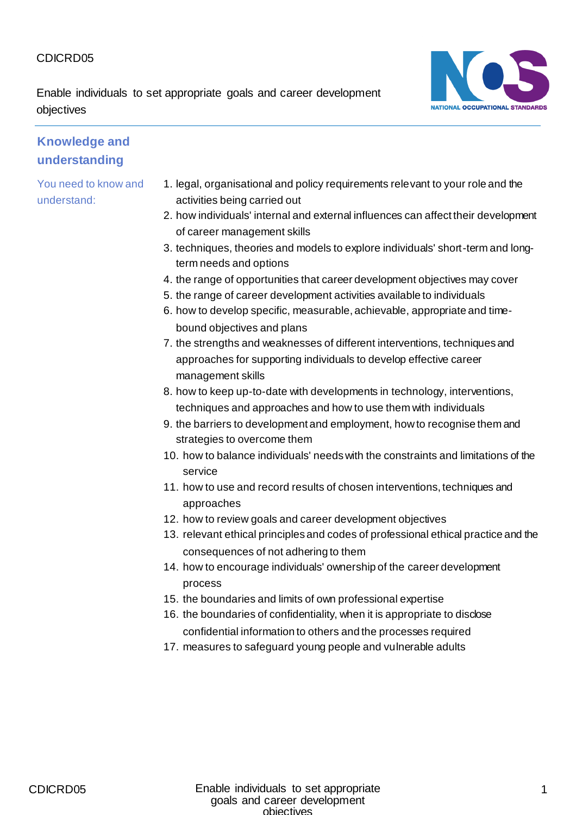Enable individuals to set appropriate goals and career development objectives



## **Knowledge and understanding**

- 1. legal, organisational and policy requirements relevant to your role and the activities being carried out
- 2. how individuals' internal and external influences can affect their development of career management skills
- 3. techniques, theories and models to explore individuals' short-term and longterm needs and options
- 4. the range of opportunities that career development objectives may cover
- 5. the range of career development activities available to individuals
- 6. how to develop specific, measurable, achievable, appropriate and timebound objectives and plans
- 7. the strengths and weaknesses of different interventions, techniques and approaches for supporting individuals to develop effective career management skills
- 8. how to keep up-to-date with developments in technology, interventions, techniques and approaches and how to use them with individuals
- 9. the barriers to development and employment, how to recognise them and strategies to overcome them
- 10. how to balance individuals' needs with the constraints and limitations of the service
- 11. how to use and record results of chosen interventions, techniques and approaches
- 12. how to review goals and career development objectives
- 13. relevant ethical principles and codes of professional ethical practice and the consequences of not adhering to them
- 14. how to encourage individuals' ownership of the career development process
- 15. the boundaries and limits of own professional expertise
- 16. the boundaries of confidentiality, when it is appropriate to disclose confidential information to others and the processes required
- 17. measures to safeguard young people and vulnerable adults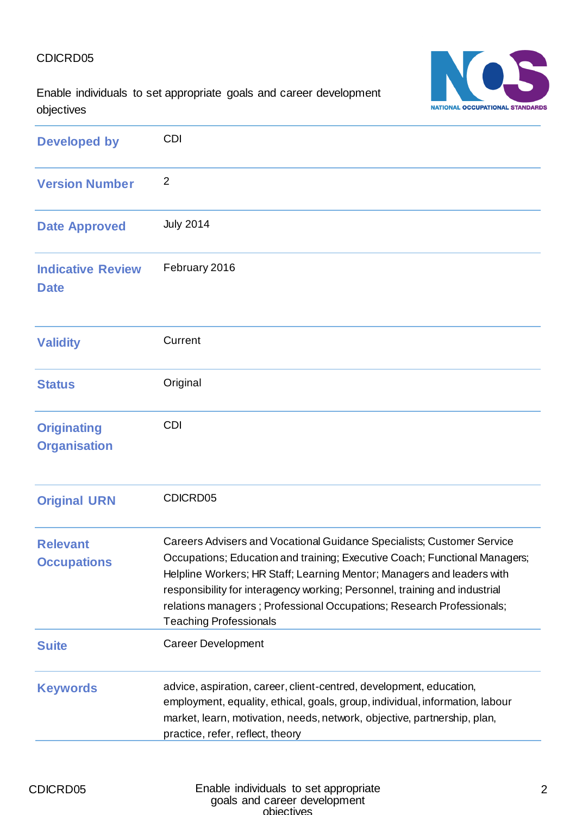NATIONAL OCCUPATIONAL STANDARDS

Enable individuals to set appropriate goals and career development objectives

| <b>Developed by</b>                       | <b>CDI</b>                                                                                                                                                                                                                                                                                                                                                                                                             |
|-------------------------------------------|------------------------------------------------------------------------------------------------------------------------------------------------------------------------------------------------------------------------------------------------------------------------------------------------------------------------------------------------------------------------------------------------------------------------|
| <b>Version Number</b>                     | $\overline{2}$                                                                                                                                                                                                                                                                                                                                                                                                         |
| <b>Date Approved</b>                      | <b>July 2014</b>                                                                                                                                                                                                                                                                                                                                                                                                       |
| <b>Indicative Review</b><br><b>Date</b>   | February 2016                                                                                                                                                                                                                                                                                                                                                                                                          |
| <b>Validity</b>                           | Current                                                                                                                                                                                                                                                                                                                                                                                                                |
| <b>Status</b>                             | Original                                                                                                                                                                                                                                                                                                                                                                                                               |
| <b>Originating</b><br><b>Organisation</b> | <b>CDI</b>                                                                                                                                                                                                                                                                                                                                                                                                             |
| <b>Original URN</b>                       | CDICRD05                                                                                                                                                                                                                                                                                                                                                                                                               |
| <b>Relevant</b><br><b>Occupations</b>     | Careers Advisers and Vocational Guidance Specialists; Customer Service<br>Occupations; Education and training; Executive Coach; Functional Managers;<br>Helpline Workers; HR Staff; Learning Mentor; Managers and leaders with<br>responsibility for interagency working; Personnel, training and industrial<br>relations managers; Professional Occupations; Research Professionals;<br><b>Teaching Professionals</b> |
| <b>Suite</b>                              | <b>Career Development</b>                                                                                                                                                                                                                                                                                                                                                                                              |
| <b>Keywords</b>                           | advice, aspiration, career, client-centred, development, education,<br>employment, equality, ethical, goals, group, individual, information, labour<br>market, learn, motivation, needs, network, objective, partnership, plan,<br>practice, refer, reflect, theory                                                                                                                                                    |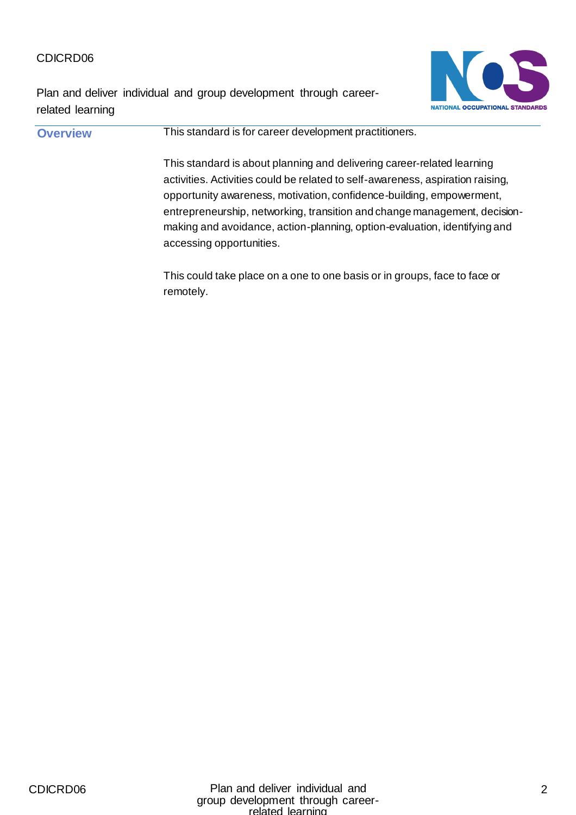Plan and deliver individual and group development through careerrelated learning



**Overview This standard is for career development practitioners.** This standard is about planning and delivering career-related learning activities. Activities could be related to self-awareness, aspiration raising, opportunity awareness, motivation, confidence-building, empowerment, entrepreneurship, networking, transition and change management, decisionmaking and avoidance, action-planning, option-evaluation, identifying and accessing opportunities.

This could take place on a one to one basis or in groups, face to face or remotely.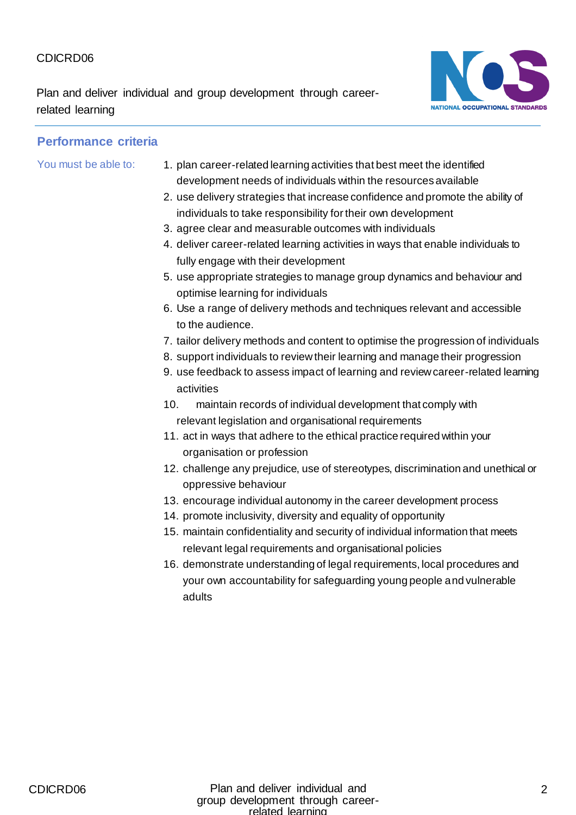Plan and deliver individual and group development through careerrelated learning



- You must be able to: 1. plan career-related learning activities that best meet the identified development needs of individuals within the resources available
	- 2. use delivery strategies that increase confidence and promote the ability of individuals to take responsibility for their own development
	- 3. agree clear and measurable outcomes with individuals
	- 4. deliver career-related learning activities in ways that enable individuals to fully engage with their development
	- 5. use appropriate strategies to manage group dynamics and behaviour and optimise learning for individuals
	- 6. Use a range of delivery methods and techniques relevant and accessible to the audience.
	- 7. tailor delivery methods and content to optimise the progression of individuals
	- 8. support individuals to review their learning and manage their progression
	- 9. use feedback to assess impact of learning and review career-related learning activities
	- 10. maintain records of individual development that comply with relevant legislation and organisational requirements
	- 11. act in ways that adhere to the ethical practice required within your organisation or profession
	- 12. challenge any prejudice, use of stereotypes, discrimination and unethical or oppressive behaviour
	- 13. encourage individual autonomy in the career development process
	- 14. promote inclusivity, diversity and equality of opportunity
	- 15. maintain confidentiality and security of individual information that meets relevant legal requirements and organisational policies
	- 16. demonstrate understanding of legal requirements, local procedures and your own accountability for safeguarding young people and vulnerable adults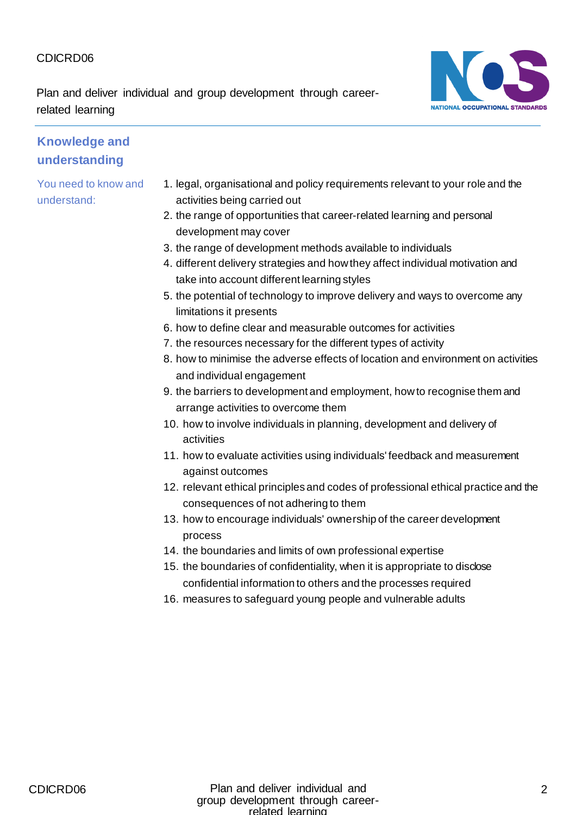Plan and deliver individual and group development through careerrelated learning



#### **Knowledge and understanding**

- 1. legal, organisational and policy requirements relevant to your role and the activities being carried out
- 2. the range of opportunities that career-related learning and personal development may cover
- 3. the range of development methods available to individuals
- 4. different delivery strategies and how they affect individual motivation and take into account different learning styles
- 5. the potential of technology to improve delivery and ways to overcome any limitations it presents
- 6. how to define clear and measurable outcomes for activities
- 7. the resources necessary for the different types of activity
- 8. how to minimise the adverse effects of location and environment on activities and individual engagement
- 9. the barriers to development and employment, how to recognise them and arrange activities to overcome them
- 10. how to involve individuals in planning, development and delivery of activities
- 11. how to evaluate activities using individuals' feedback and measurement against outcomes
- 12. relevant ethical principles and codes of professional ethical practice and the consequences of not adhering to them
- 13. how to encourage individuals' ownership of the career development process
- 14. the boundaries and limits of own professional expertise
- 15. the boundaries of confidentiality, when it is appropriate to disclose confidential information to others and the processes required
- 16. measures to safeguard young people and vulnerable adults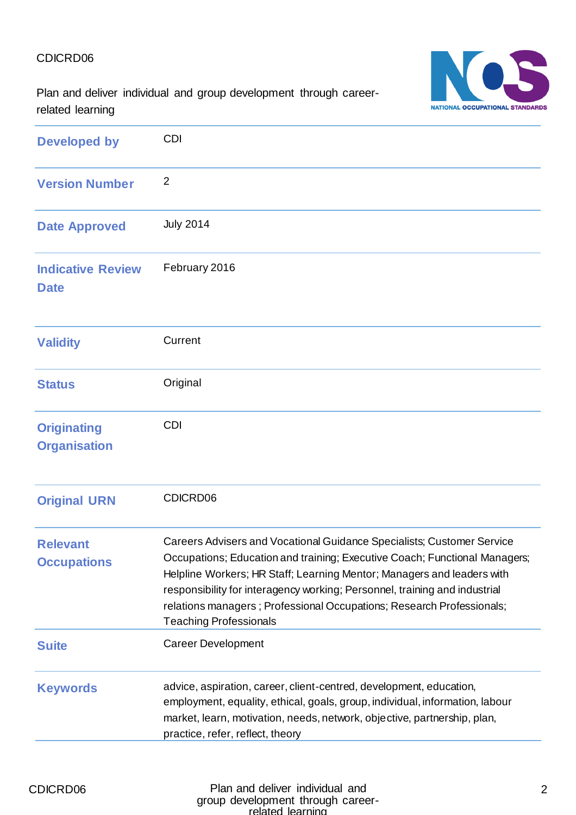

Plan and deliver individual and group development through careerrelated learning

| <b>Developed by</b>                       | <b>CDI</b>                                                                                                                                                                                                                                                                                                                                                                                                             |
|-------------------------------------------|------------------------------------------------------------------------------------------------------------------------------------------------------------------------------------------------------------------------------------------------------------------------------------------------------------------------------------------------------------------------------------------------------------------------|
| <b>Version Number</b>                     | $\overline{2}$                                                                                                                                                                                                                                                                                                                                                                                                         |
| <b>Date Approved</b>                      | <b>July 2014</b>                                                                                                                                                                                                                                                                                                                                                                                                       |
| <b>Indicative Review</b><br><b>Date</b>   | February 2016                                                                                                                                                                                                                                                                                                                                                                                                          |
| <b>Validity</b>                           | Current                                                                                                                                                                                                                                                                                                                                                                                                                |
| <b>Status</b>                             | Original                                                                                                                                                                                                                                                                                                                                                                                                               |
| <b>Originating</b><br><b>Organisation</b> | <b>CDI</b>                                                                                                                                                                                                                                                                                                                                                                                                             |
| <b>Original URN</b>                       | CDICRD06                                                                                                                                                                                                                                                                                                                                                                                                               |
| <b>Relevant</b><br><b>Occupations</b>     | Careers Advisers and Vocational Guidance Specialists; Customer Service<br>Occupations; Education and training; Executive Coach; Functional Managers;<br>Helpline Workers; HR Staff; Learning Mentor; Managers and leaders with<br>responsibility for interagency working; Personnel, training and industrial<br>relations managers; Professional Occupations; Research Professionals;<br><b>Teaching Professionals</b> |
| <b>Suite</b>                              | <b>Career Development</b>                                                                                                                                                                                                                                                                                                                                                                                              |
| <b>Keywords</b>                           | advice, aspiration, career, client-centred, development, education,<br>employment, equality, ethical, goals, group, individual, information, labour<br>market, learn, motivation, needs, network, objective, partnership, plan,<br>practice, refer, reflect, theory                                                                                                                                                    |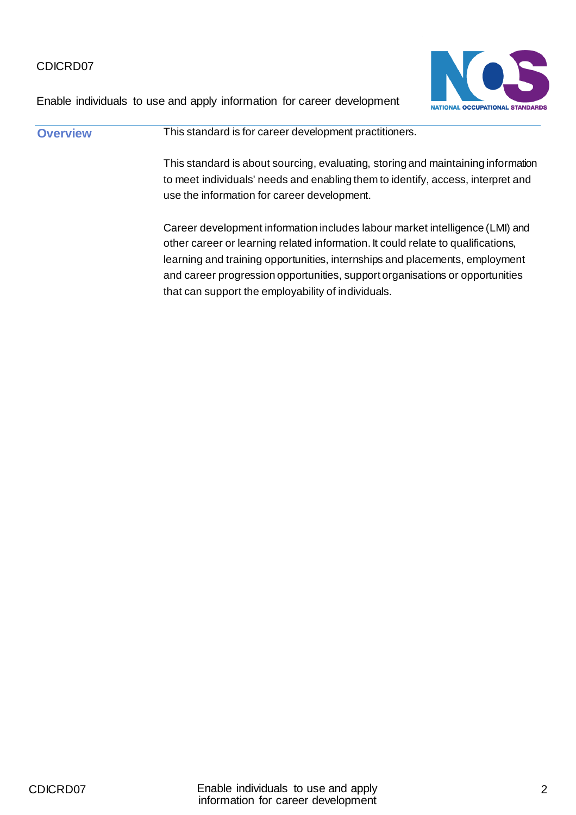

Enable individuals to use and apply information for career development

**Overview This standard is for career development practitioners.** This standard is about sourcing, evaluating, storing and maintaining information to meet individuals' needs and enabling them to identify, access, interpret and use the information for career development. Career development information includes labour market intelligence (LMI) and other career or learning related information. It could relate to qualifications, learning and training opportunities, internships and placements, employment and career progression opportunities, support organisations or opportunities that can support the employability of individuals.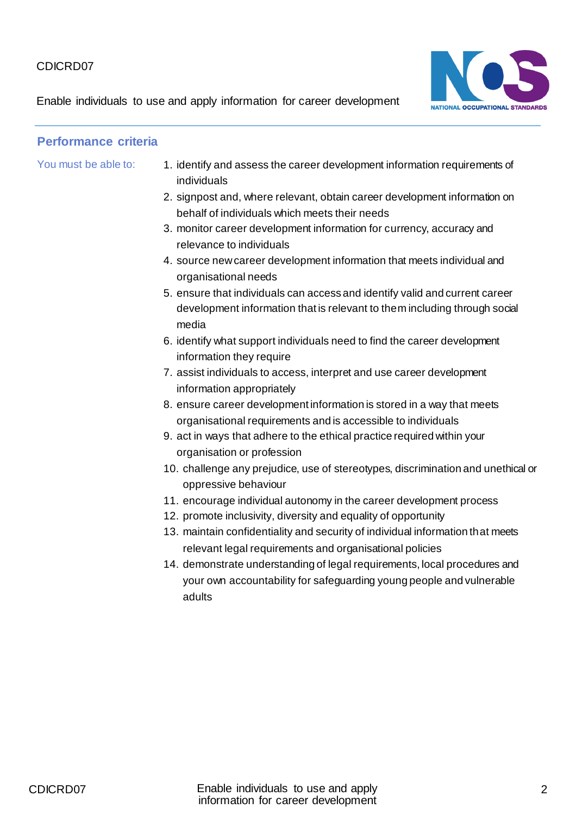Enable individuals to use and apply information for career development



- You must be able to: 1. identify and assess the career development information requirements of individuals
	- 2. signpost and, where relevant, obtain career development information on behalf of individuals which meets their needs
	- 3. monitor career development information for currency, accuracy and relevance to individuals
	- 4. source new career development information that meets individual and organisational needs
	- 5. ensure that individuals can access and identify valid and current career development information that is relevant to them including through social media
	- 6. identify what support individuals need to find the career development information they require
	- 7. assist individuals to access, interpret and use career development information appropriately
	- 8. ensure career development information is stored in a way that meets organisational requirements and is accessible to individuals
	- 9. act in ways that adhere to the ethical practice required within your organisation or profession
	- 10. challenge any prejudice, use of stereotypes, discrimination and unethical or oppressive behaviour
	- 11. encourage individual autonomy in the career development process
	- 12. promote inclusivity, diversity and equality of opportunity
	- 13. maintain confidentiality and security of individual information that meets relevant legal requirements and organisational policies
	- 14. demonstrate understanding of legal requirements, local procedures and your own accountability for safeguarding young people and vulnerable adults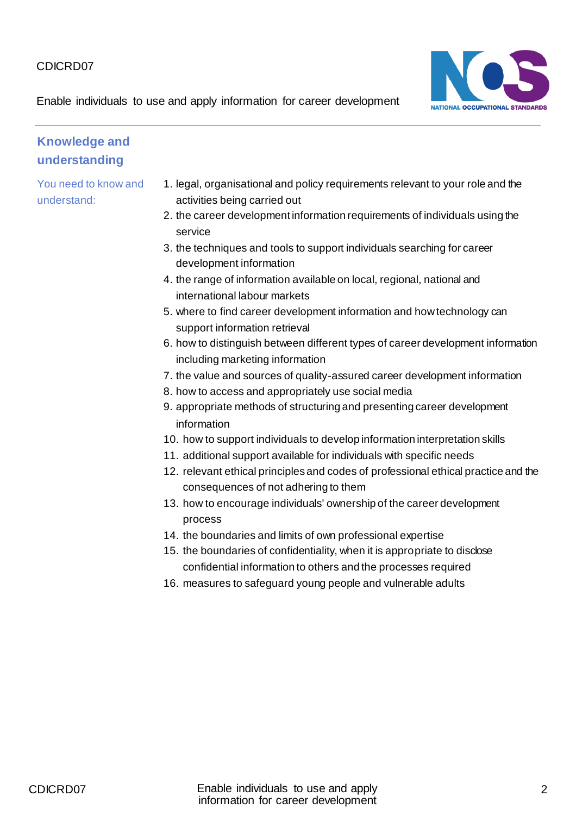NATIONAL OCCUPATIONAL STANDARDS

Enable individuals to use and apply information for career development

## **Knowledge and understanding**

- 1. legal, organisational and policy requirements relevant to your role and the activities being carried out
- 2. the career development information requirements of individuals using the service
- 3. the techniques and tools to support individuals searching for career development information
- 4. the range of information available on local, regional, national and international labour markets
- 5. where to find career development information and how technology can support information retrieval
- 6. how to distinguish between different types of career development information including marketing information
- 7. the value and sources of quality-assured career development information
- 8. how to access and appropriately use social media
- 9. appropriate methods of structuring and presenting career development information
- 10. how to support individuals to develop information interpretation skills
- 11. additional support available for individuals with specific needs
- 12. relevant ethical principles and codes of professional ethical practice and the consequences of not adhering to them
- 13. how to encourage individuals' ownership of the career development process
- 14. the boundaries and limits of own professional expertise
- 15. the boundaries of confidentiality, when it is appropriate to disclose confidential information to others and the processes required
- 16. measures to safeguard young people and vulnerable adults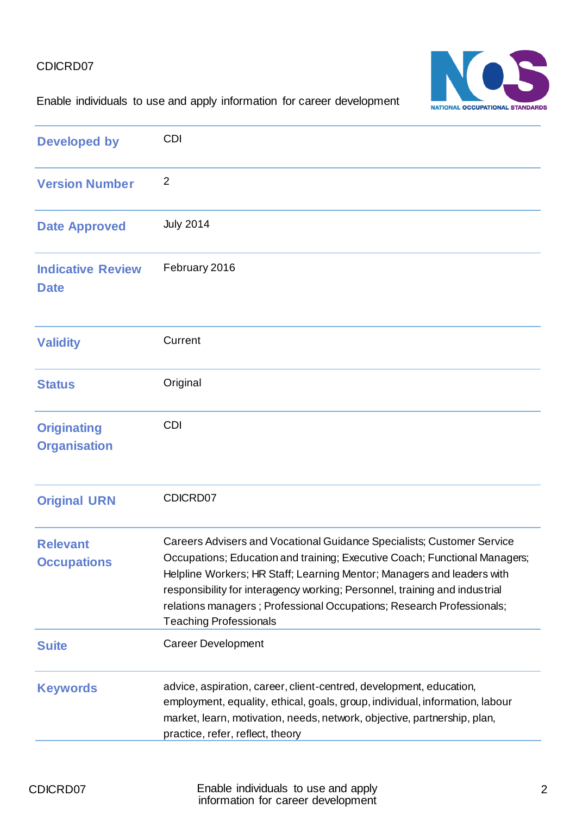

#### Enable individuals to use and apply information for career development

| <b>Developed by</b>                       | <b>CDI</b>                                                                                                                                                                                                                                                                                                                                                                                                             |
|-------------------------------------------|------------------------------------------------------------------------------------------------------------------------------------------------------------------------------------------------------------------------------------------------------------------------------------------------------------------------------------------------------------------------------------------------------------------------|
| <b>Version Number</b>                     | $\overline{2}$                                                                                                                                                                                                                                                                                                                                                                                                         |
| <b>Date Approved</b>                      | <b>July 2014</b>                                                                                                                                                                                                                                                                                                                                                                                                       |
| <b>Indicative Review</b><br><b>Date</b>   | February 2016                                                                                                                                                                                                                                                                                                                                                                                                          |
| <b>Validity</b>                           | Current                                                                                                                                                                                                                                                                                                                                                                                                                |
| <b>Status</b>                             | Original                                                                                                                                                                                                                                                                                                                                                                                                               |
| <b>Originating</b><br><b>Organisation</b> | <b>CDI</b>                                                                                                                                                                                                                                                                                                                                                                                                             |
| <b>Original URN</b>                       | CDICRD07                                                                                                                                                                                                                                                                                                                                                                                                               |
| <b>Relevant</b><br><b>Occupations</b>     | Careers Advisers and Vocational Guidance Specialists; Customer Service<br>Occupations; Education and training; Executive Coach; Functional Managers;<br>Helpline Workers; HR Staff; Learning Mentor; Managers and leaders with<br>responsibility for interagency working; Personnel, training and industrial<br>relations managers; Professional Occupations; Research Professionals;<br><b>Teaching Professionals</b> |
| <b>Suite</b>                              | <b>Career Development</b>                                                                                                                                                                                                                                                                                                                                                                                              |
| <b>Keywords</b>                           | advice, aspiration, career, client-centred, development, education,<br>employment, equality, ethical, goals, group, individual, information, labour<br>market, learn, motivation, needs, network, objective, partnership, plan,<br>practice, refer, reflect, theory                                                                                                                                                    |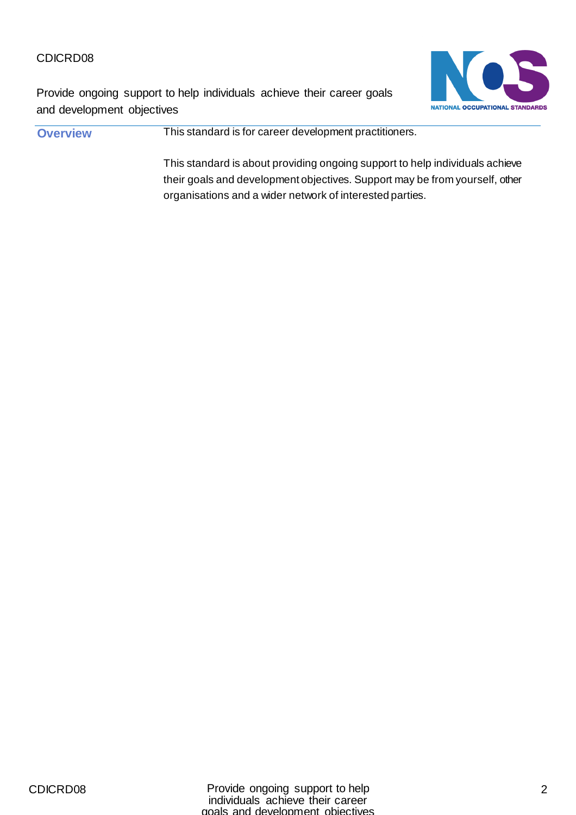Provide ongoing support to help individuals achieve their career goals and development objectives

NATIONAL OCCUPATIONAL STANDARDS

**Overview This standard is for career development practitioners.** This standard is about providing ongoing support to help individuals achieve their goals and development objectives. Support may be from yourself, other organisations and a wider network of interested parties.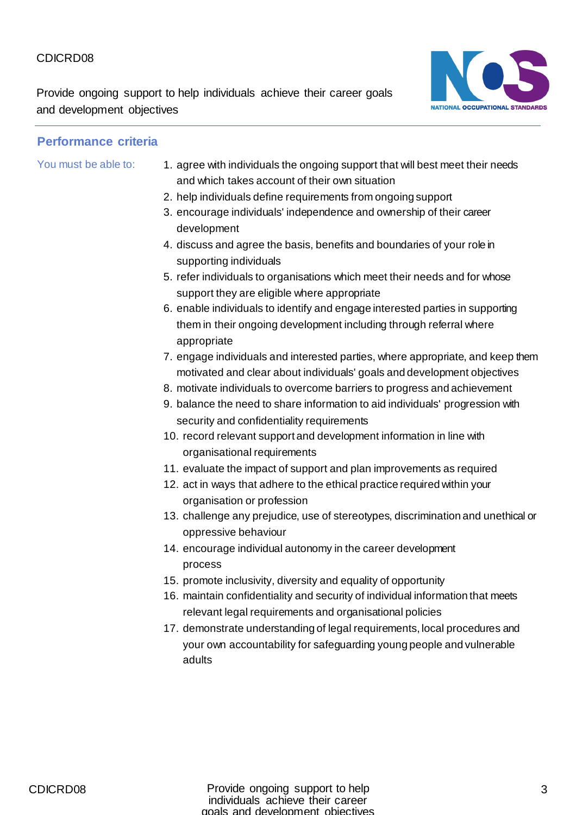Provide ongoing support to help individuals achieve their career goals and development objectives



- You must be able to: 1. agree with individuals the ongoing support that will best meet their needs and which takes account of their own situation
	- 2. help individuals define requirements from ongoing support
	- 3. encourage individuals' independence and ownership of their career development
	- 4. discuss and agree the basis, benefits and boundaries of your role in supporting individuals
	- 5. refer individuals to organisations which meet their needs and for whose support they are eligible where appropriate
	- 6. enable individuals to identify and engage interested parties in supporting them in their ongoing development including through referral where appropriate
	- 7. engage individuals and interested parties, where appropriate, and keep them motivated and clear about individuals' goals and development objectives
	- 8. motivate individuals to overcome barriers to progress and achievement
	- 9. balance the need to share information to aid individuals' progression with security and confidentiality requirements
	- 10. record relevant support and development information in line with organisational requirements
	- 11. evaluate the impact of support and plan improvements as required
	- 12. act in ways that adhere to the ethical practice required within your organisation or profession
	- 13. challenge any prejudice, use of stereotypes, discrimination and unethical or oppressive behaviour
	- 14. encourage individual autonomy in the career development process
	- 15. promote inclusivity, diversity and equality of opportunity
	- 16. maintain confidentiality and security of individual information that meets relevant legal requirements and organisational policies
	- 17. demonstrate understanding of legal requirements, local procedures and your own accountability for safeguarding young people and vulnerable adults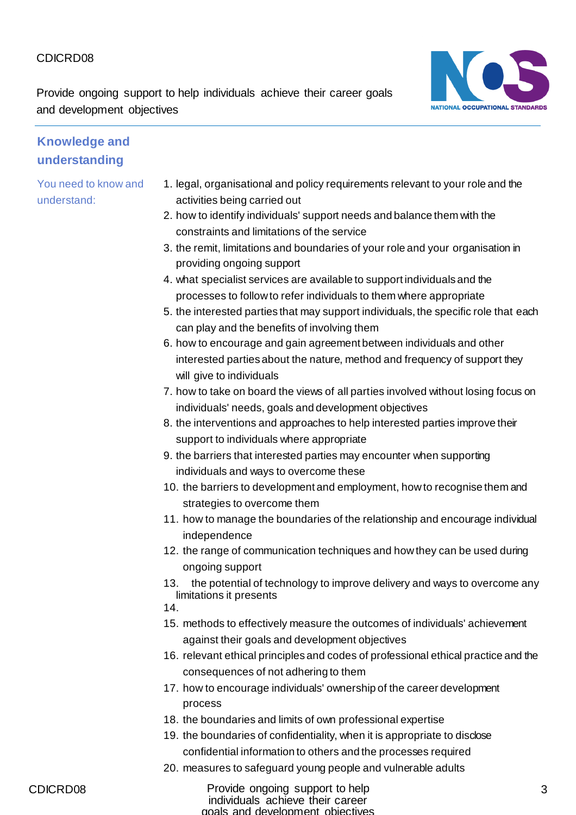Provide ongoing support to help individuals achieve their career goals and development objectives



#### **Knowledge and understanding**

- 1. legal, organisational and policy requirements relevant to your role and the activities being carried out
- 2. how to identify individuals' support needs and balance them with the constraints and limitations of the service
- 3. the remit, limitations and boundaries of your role and your organisation in providing ongoing support
- 4. what specialist services are available to support individuals and the processes to follow to refer individuals to them where appropriate
- 5. the interested parties that may support individuals, the specific role that each can play and the benefits of involving them
- 6. how to encourage and gain agreement between individuals and other interested parties about the nature, method and frequency of support they will give to individuals
- 7. how to take on board the views of all parties involved without losing focus on individuals' needs, goals and development objectives
- 8. the interventions and approaches to help interested parties improve their support to individuals where appropriate
- 9. the barriers that interested parties may encounter when supporting individuals and ways to overcome these
- 10. the barriers to development and employment, how to recognise them and strategies to overcome them
- 11. how to manage the boundaries of the relationship and encourage individual independence
- 12. the range of communication techniques and how they can be used during ongoing support
- 13. the potential of technology to improve delivery and ways to overcome any limitations it presents
- 14.
- 15. methods to effectively measure the outcomes of individuals' achievement against their goals and development objectives
- 16. relevant ethical principles and codes of professional ethical practice and the consequences of not adhering to them
- 17. how to encourage individuals' ownership of the career development process
- 18. the boundaries and limits of own professional expertise
- 19. the boundaries of confidentiality, when it is appropriate to disclose confidential information to others and the processes required
- 20. measures to safeguard young people and vulnerable adults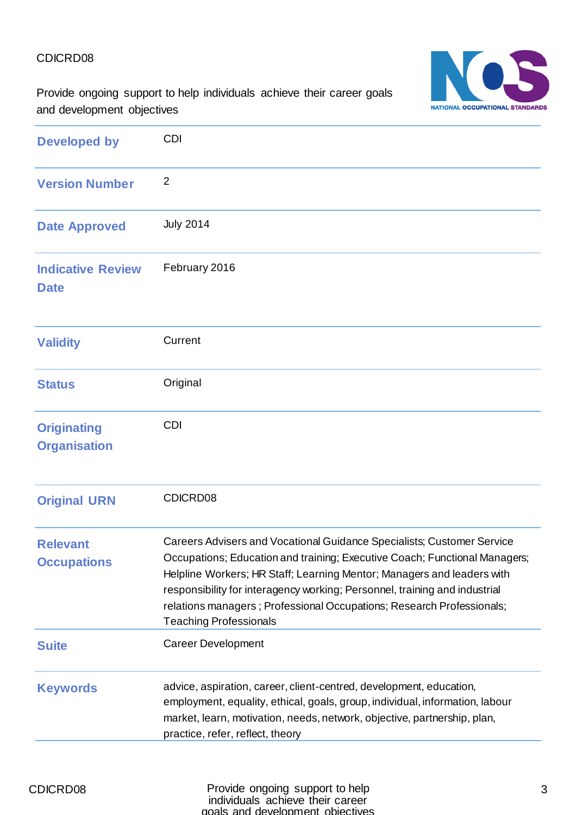NATIONAL OCCUPATIONAL STANDARDS

Provide ongoing support to help individuals achieve their career goals and development objectives

| <b>Developed by</b>                       | <b>CDI</b>                                                                                                                                                                                                                                                                                                                                                                                                             |
|-------------------------------------------|------------------------------------------------------------------------------------------------------------------------------------------------------------------------------------------------------------------------------------------------------------------------------------------------------------------------------------------------------------------------------------------------------------------------|
| <b>Version Number</b>                     | $\overline{2}$                                                                                                                                                                                                                                                                                                                                                                                                         |
| <b>Date Approved</b>                      | <b>July 2014</b>                                                                                                                                                                                                                                                                                                                                                                                                       |
| <b>Indicative Review</b><br><b>Date</b>   | February 2016                                                                                                                                                                                                                                                                                                                                                                                                          |
| <b>Validity</b>                           | Current                                                                                                                                                                                                                                                                                                                                                                                                                |
| <b>Status</b>                             | Original                                                                                                                                                                                                                                                                                                                                                                                                               |
| <b>Originating</b><br><b>Organisation</b> | <b>CDI</b>                                                                                                                                                                                                                                                                                                                                                                                                             |
| <b>Original URN</b>                       | CDICRD08                                                                                                                                                                                                                                                                                                                                                                                                               |
| <b>Relevant</b><br><b>Occupations</b>     | Careers Advisers and Vocational Guidance Specialists; Customer Service<br>Occupations; Education and training; Executive Coach; Functional Managers;<br>Helpline Workers; HR Staff; Learning Mentor; Managers and leaders with<br>responsibility for interagency working; Personnel, training and industrial<br>relations managers; Professional Occupations; Research Professionals;<br><b>Teaching Professionals</b> |
| <b>Suite</b>                              | <b>Career Development</b>                                                                                                                                                                                                                                                                                                                                                                                              |
| <b>Keywords</b>                           | advice, aspiration, career, client-centred, development, education,<br>employment, equality, ethical, goals, group, individual, information, labour<br>market, learn, motivation, needs, network, objective, partnership, plan,<br>practice, refer, reflect, theory                                                                                                                                                    |

CDICRD08 **Provide ongoing support to help** individuals achieve their career goals and development objectives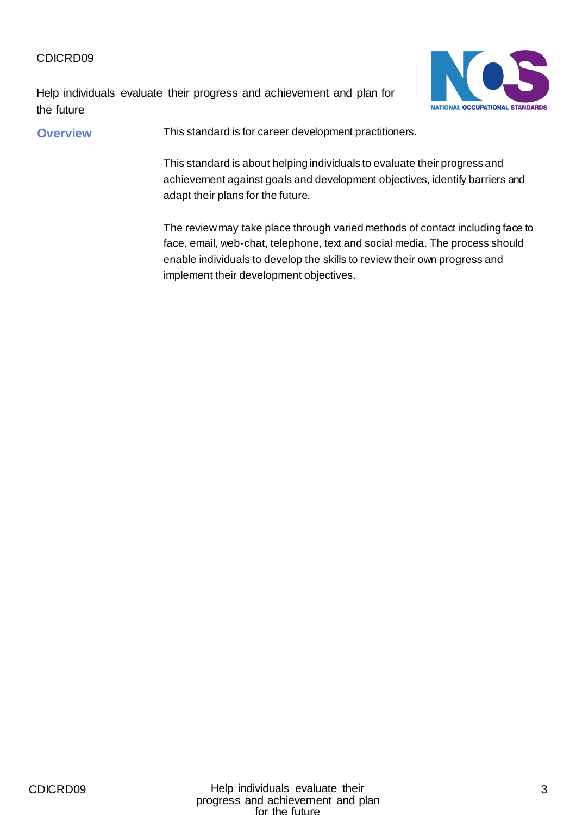Help individuals evaluate their progress and achievement and plan for the future



**Overview This standard is for career development practitioners.** This standard is about helping individuals to evaluate their progress and achievement against goals and development objectives, identify barriers and adapt their plans for the future. The review may take place through varied methods of contact including face to face, email, web-chat, telephone, text and social media. The process should enable individuals to develop the skills to review their own progress and implement their development objectives.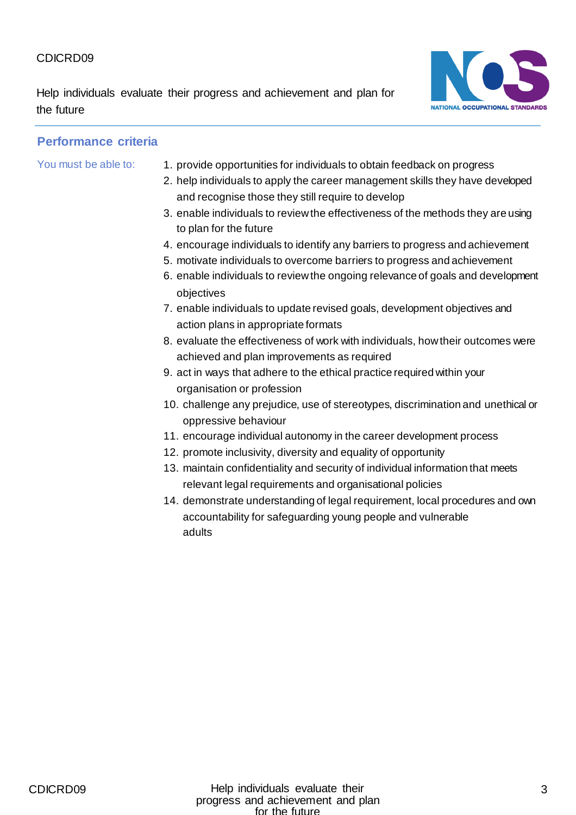Help individuals evaluate their progress and achievement and plan for the future



- You must be able to: 1. provide opportunities for individuals to obtain feedback on progress
	- 2. help individuals to apply the career management skills they have developed and recognise those they still require to develop
	- 3. enable individuals to review the effectiveness of the methods they are using to plan for the future
	- 4. encourage individuals to identify any barriers to progress and achievement
	- 5. motivate individuals to overcome barriers to progress and achievement
	- 6. enable individuals to review the ongoing relevance of goals and development objectives
	- 7. enable individuals to update revised goals, development objectives and action plans in appropriate formats
	- 8. evaluate the effectiveness of work with individuals, how their outcomes were achieved and plan improvements as required
	- 9. act in ways that adhere to the ethical practice required within your organisation or profession
	- 10. challenge any prejudice, use of stereotypes, discrimination and unethical or oppressive behaviour
	- 11. encourage individual autonomy in the career development process
	- 12. promote inclusivity, diversity and equality of opportunity
	- 13. maintain confidentiality and security of individual information that meets relevant legal requirements and organisational policies
	- 14. demonstrate understanding of legal requirement, local procedures and own accountability for safeguarding young people and vulnerable adults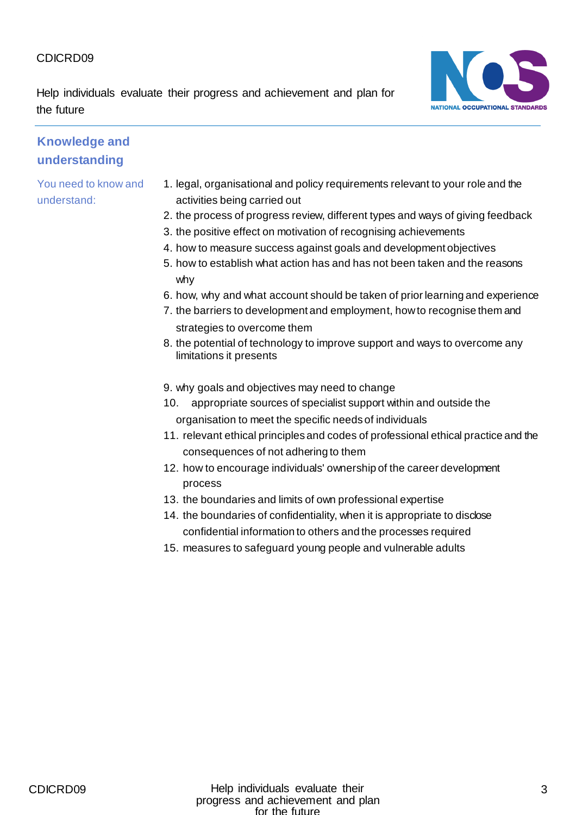Help individuals evaluate their progress and achievement and plan for the future



#### **Knowledge and understanding**

- 1. legal, organisational and policy requirements relevant to your role and the activities being carried out
- 2. the process of progress review, different types and ways of giving feedback
- 3. the positive effect on motivation of recognising achievements
- 4. how to measure success against goals and development objectives
- 5. how to establish what action has and has not been taken and the reasons why
- 6. how, why and what account should be taken of prior learning and experience
- 7. the barriers to development and employment, how to recognise them and strategies to overcome them
- 8. the potential of technology to improve support and ways to overcome any limitations it presents
- 9. why goals and objectives may need to change
- 10. appropriate sources of specialist support within and outside the organisation to meet the specific needs of individuals
- 11. relevant ethical principles and codes of professional ethical practice and the consequences of not adhering to them
- 12. how to encourage individuals' ownership of the career development process
- 13. the boundaries and limits of own professional expertise
- 14. the boundaries of confidentiality, when it is appropriate to disclose confidential information to others and the processes required
- 15. measures to safeguard young people and vulnerable adults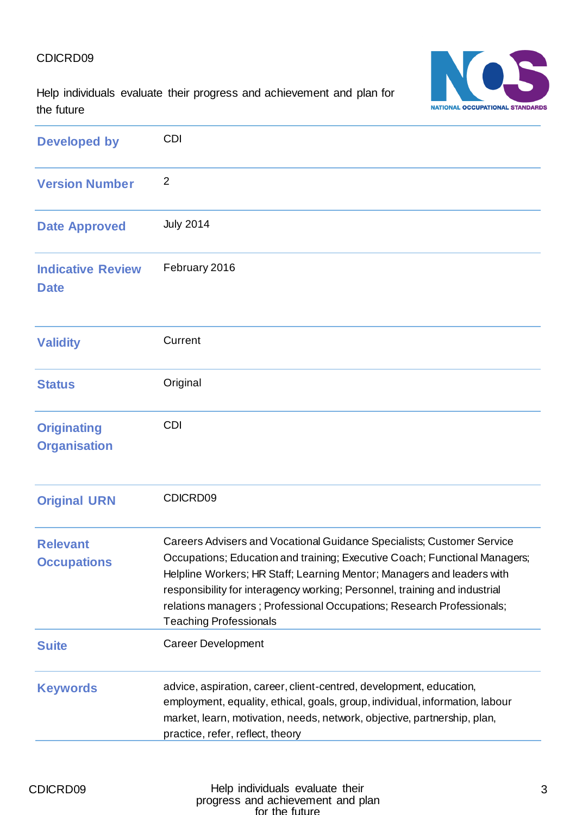Help individuals evaluate their progress and achievement and plan for the future



| <b>Developed by</b>                       | <b>CDI</b>                                                                                                                                                                                                                                                                                                                                                                                                              |
|-------------------------------------------|-------------------------------------------------------------------------------------------------------------------------------------------------------------------------------------------------------------------------------------------------------------------------------------------------------------------------------------------------------------------------------------------------------------------------|
| <b>Version Number</b>                     | $\overline{2}$                                                                                                                                                                                                                                                                                                                                                                                                          |
| <b>Date Approved</b>                      | <b>July 2014</b>                                                                                                                                                                                                                                                                                                                                                                                                        |
| <b>Indicative Review</b><br><b>Date</b>   | February 2016                                                                                                                                                                                                                                                                                                                                                                                                           |
| <b>Validity</b>                           | Current                                                                                                                                                                                                                                                                                                                                                                                                                 |
| <b>Status</b>                             | Original                                                                                                                                                                                                                                                                                                                                                                                                                |
| <b>Originating</b><br><b>Organisation</b> | <b>CDI</b>                                                                                                                                                                                                                                                                                                                                                                                                              |
| <b>Original URN</b>                       | CDICRD09                                                                                                                                                                                                                                                                                                                                                                                                                |
| <b>Relevant</b><br><b>Occupations</b>     | Careers Advisers and Vocational Guidance Specialists; Customer Service<br>Occupations; Education and training; Executive Coach; Functional Managers;<br>Helpline Workers; HR Staff; Learning Mentor; Managers and leaders with<br>responsibility for interagency working; Personnel, training and industrial<br>relations managers ; Professional Occupations; Research Professionals;<br><b>Teaching Professionals</b> |
| <b>Suite</b>                              | <b>Career Development</b>                                                                                                                                                                                                                                                                                                                                                                                               |
| <b>Keywords</b>                           | advice, aspiration, career, client-centred, development, education,<br>employment, equality, ethical, goals, group, individual, information, labour<br>market, learn, motivation, needs, network, objective, partnership, plan,<br>practice, refer, reflect, theory                                                                                                                                                     |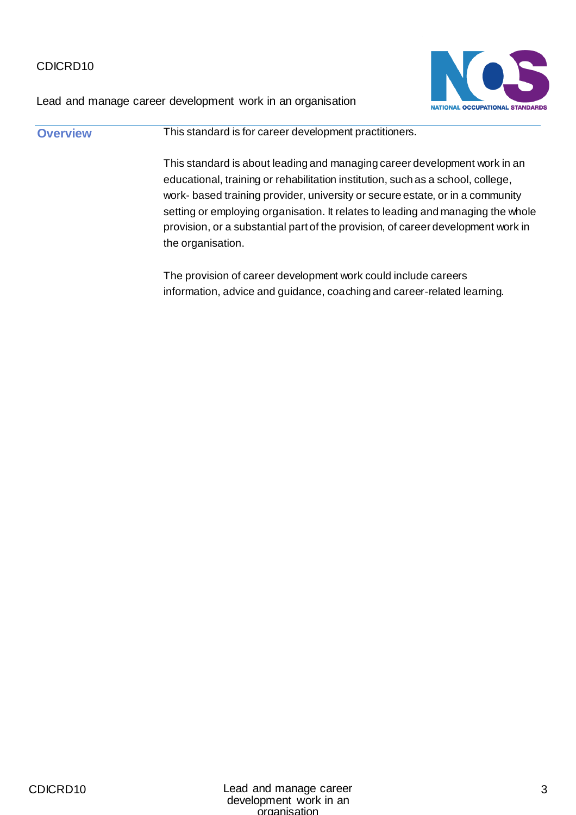Lead and manage career development work in an organisation



**Overview This standard is for career development practitioners.** This standard is about leading and managing career development work in an educational, training or rehabilitation institution, such as a school, college, work- based training provider, university or secure estate, or in a community setting or employing organisation. It relates to leading and managing the whole provision, or a substantial part of the provision, of career development work in the organisation.

The provision of career development work could include careers information, advice and guidance, coaching and career-related learning.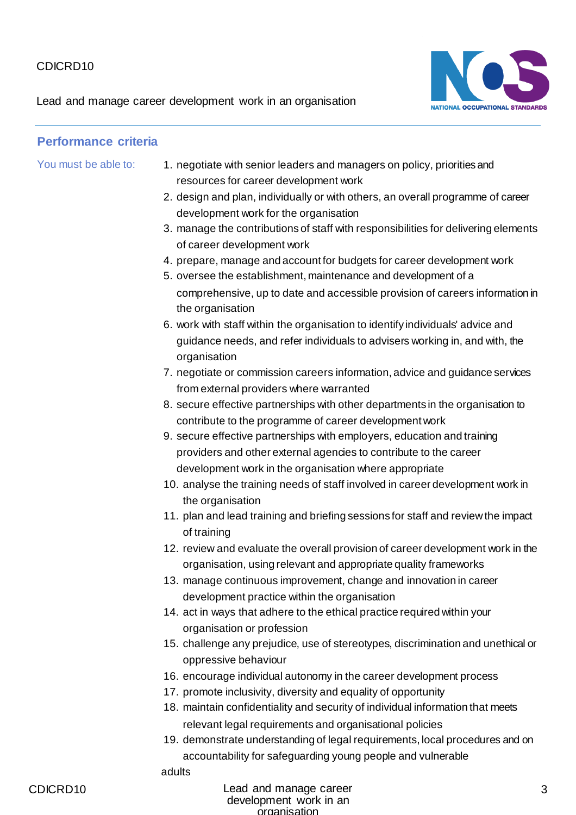Lead and manage career development work in an organisation



#### **Performance criteria**

- You must be able to: 1. negotiate with senior leaders and managers on policy, priorities and resources for career development work
	- 2. design and plan, individually or with others, an overall programme of career development work for the organisation
	- 3. manage the contributions of staff with responsibilities for delivering elements of career development work
	- 4. prepare, manage and account for budgets for career development work
	- 5. oversee the establishment, maintenance and development of a comprehensive, up to date and accessible provision of careers information in the organisation
	- 6. work with staff within the organisation to identify individuals' advice and guidance needs, and refer individuals to advisers working in, and with, the organisation
	- 7. negotiate or commission careers information, advice and guidance services from external providers where warranted
	- 8. secure effective partnerships with other departments in the organisation to contribute to the programme of career development work
	- 9. secure effective partnerships with employers, education and training providers and other external agencies to contribute to the career development work in the organisation where appropriate
	- 10. analyse the training needs of staff involved in career development work in the organisation
	- 11. plan and lead training and briefing sessions for staff and review the impact of training
	- 12. review and evaluate the overall provision of career development work in the organisation, using relevant and appropriate quality frameworks
	- 13. manage continuous improvement, change and innovation in career development practice within the organisation
	- 14. act in ways that adhere to the ethical practice required within your organisation or profession
	- 15. challenge any prejudice, use of stereotypes, discrimination and unethical or oppressive behaviour
	- 16. encourage individual autonomy in the career development process
	- 17. promote inclusivity, diversity and equality of opportunity
	- 18. maintain confidentiality and security of individual information that meets relevant legal requirements and organisational policies
	- 19. demonstrate understanding of legal requirements, local procedures and on accountability for safeguarding young people and vulnerable

adults

#### CDICRD10 Lead and manage career development work in an organisation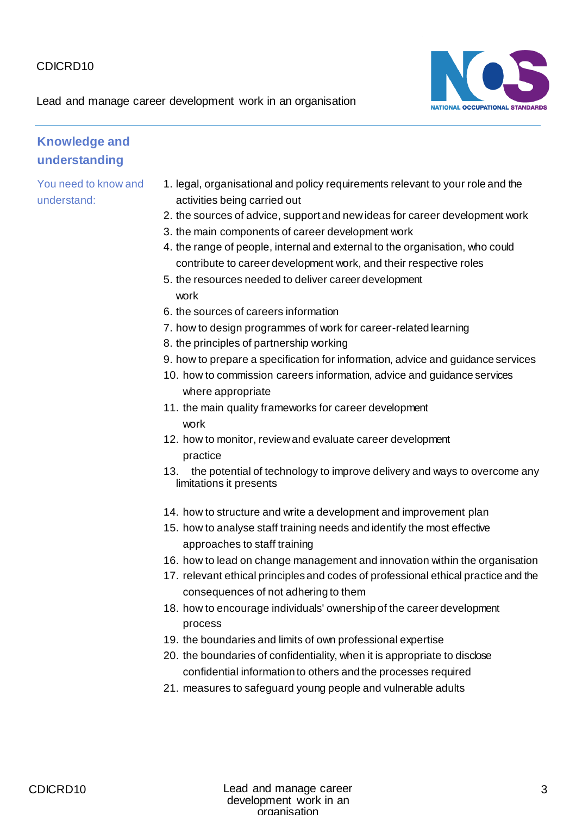Lead and manage career development work in an organisation



#### **Knowledge and understanding**

- 1. legal, organisational and policy requirements relevant to your role and the activities being carried out
- 2. the sources of advice, support and new ideas for career development work
- 3. the main components of career development work
- 4. the range of people, internal and external to the organisation, who could contribute to career development work, and their respective roles
- 5. the resources needed to deliver career development work
- 6. the sources of careers information
- 7. how to design programmes of work for career-related learning
- 8. the principles of partnership working
- 9. how to prepare a specification for information, advice and guidance services
- 10. how to commission careers information, advice and guidance services where appropriate
- 11. the main quality frameworks for career development work
- 12. how to monitor, review and evaluate career development practice
- 13. the potential of technology to improve delivery and ways to overcome any limitations it presents
- 14. how to structure and write a development and improvement plan
- 15. how to analyse staff training needs and identify the most effective approaches to staff training
- 16. how to lead on change management and innovation within the organisation
- 17. relevant ethical principles and codes of professional ethical practice and the consequences of not adhering to them
- 18. how to encourage individuals' ownership of the career development process
- 19. the boundaries and limits of own professional expertise
- 20. the boundaries of confidentiality, when it is appropriate to disclose confidential information to others and the processes required
- 21. measures to safeguard young people and vulnerable adults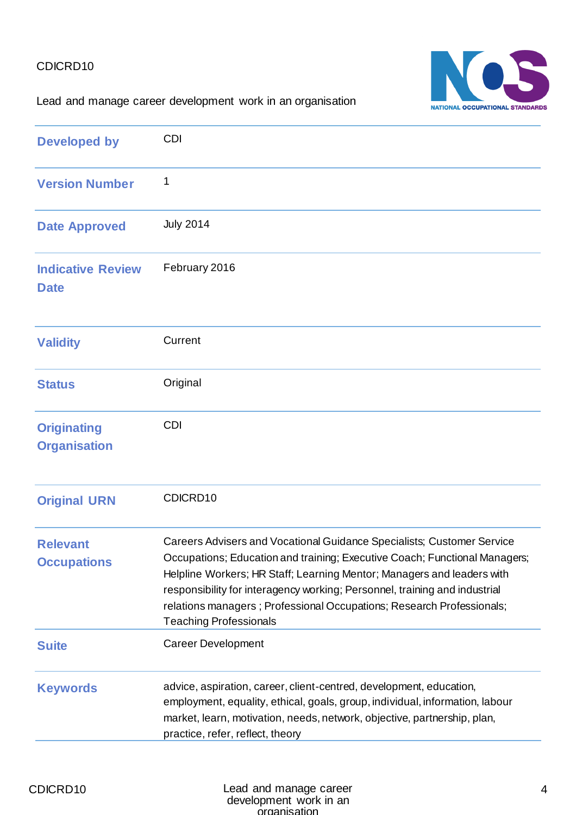

#### Lead and manage career development work in an organisation

| <b>Developed by</b>                       | <b>CDI</b>                                                                                                                                                                                                                                                                                                                                                                                                             |
|-------------------------------------------|------------------------------------------------------------------------------------------------------------------------------------------------------------------------------------------------------------------------------------------------------------------------------------------------------------------------------------------------------------------------------------------------------------------------|
| <b>Version Number</b>                     | 1                                                                                                                                                                                                                                                                                                                                                                                                                      |
| <b>Date Approved</b>                      | <b>July 2014</b>                                                                                                                                                                                                                                                                                                                                                                                                       |
| <b>Indicative Review</b><br><b>Date</b>   | February 2016                                                                                                                                                                                                                                                                                                                                                                                                          |
| <b>Validity</b>                           | Current                                                                                                                                                                                                                                                                                                                                                                                                                |
| <b>Status</b>                             | Original                                                                                                                                                                                                                                                                                                                                                                                                               |
| <b>Originating</b><br><b>Organisation</b> | <b>CDI</b>                                                                                                                                                                                                                                                                                                                                                                                                             |
| <b>Original URN</b>                       | CDICRD10                                                                                                                                                                                                                                                                                                                                                                                                               |
| <b>Relevant</b><br><b>Occupations</b>     | Careers Advisers and Vocational Guidance Specialists; Customer Service<br>Occupations; Education and training; Executive Coach; Functional Managers;<br>Helpline Workers; HR Staff; Learning Mentor; Managers and leaders with<br>responsibility for interagency working; Personnel, training and industrial<br>relations managers; Professional Occupations; Research Professionals;<br><b>Teaching Professionals</b> |
| <b>Suite</b>                              | <b>Career Development</b>                                                                                                                                                                                                                                                                                                                                                                                              |
| <b>Keywords</b>                           | advice, aspiration, career, client-centred, development, education,<br>employment, equality, ethical, goals, group, individual, information, labour<br>market, learn, motivation, needs, network, objective, partnership, plan,<br>practice, refer, reflect, theory                                                                                                                                                    |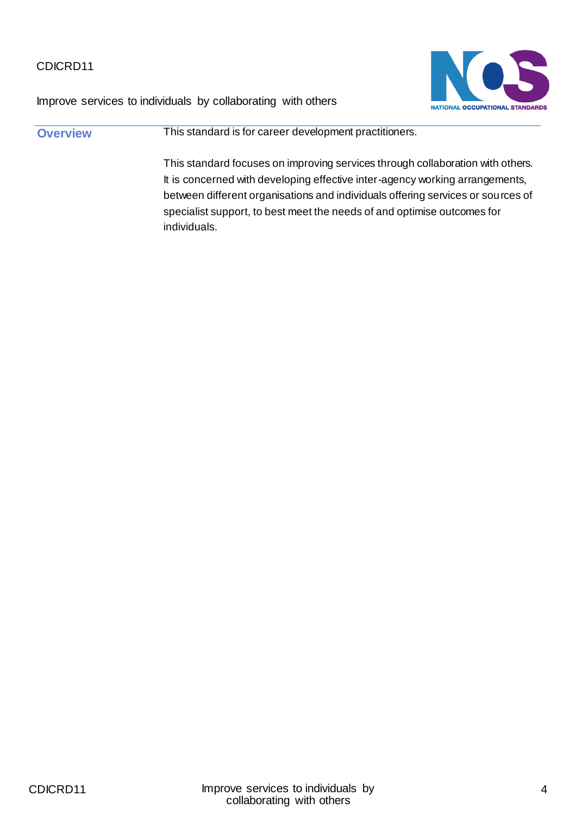

Improve services to individuals by collaborating with others

**Overview This standard is for career development practitioners.** This standard focuses on improving services through collaboration with others. It is concerned with developing effective inter-agency working arrangements, between different organisations and individuals offering services or sources of specialist support, to best meet the needs of and optimise outcomes for individuals.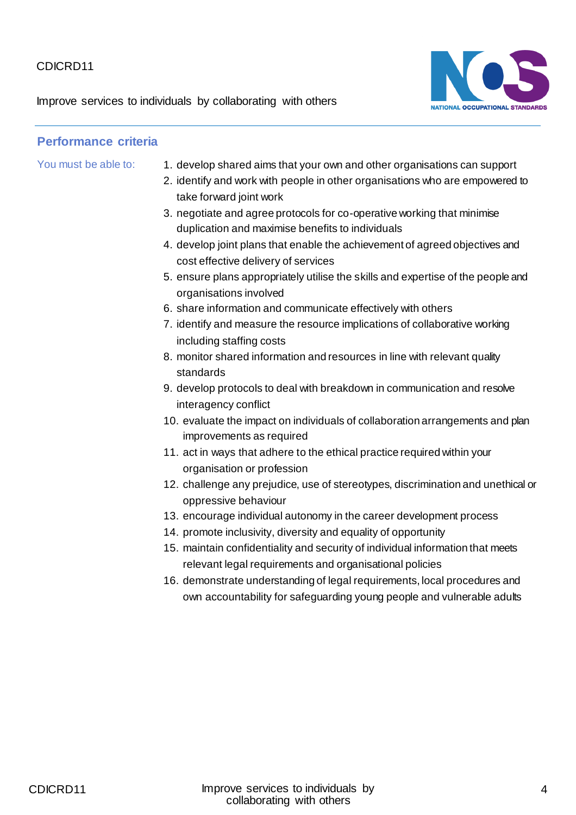Improve services to individuals by collaborating with others



- You must be able to: 1. develop shared aims that your own and other organisations can support
	- 2. identify and work with people in other organisations who are empowered to take forward joint work
	- 3. negotiate and agree protocols for co-operative working that minimise duplication and maximise benefits to individuals
	- 4. develop joint plans that enable the achievement of agreed objectives and cost effective delivery of services
	- 5. ensure plans appropriately utilise the skills and expertise of the people and organisations involved
	- 6. share information and communicate effectively with others
	- 7. identify and measure the resource implications of collaborative working including staffing costs
	- 8. monitor shared information and resources in line with relevant quality standards
	- 9. develop protocols to deal with breakdown in communication and resolve interagency conflict
	- 10. evaluate the impact on individuals of collaboration arrangements and plan improvements as required
	- 11. act in ways that adhere to the ethical practice required within your organisation or profession
	- 12. challenge any prejudice, use of stereotypes, discrimination and unethical or oppressive behaviour
	- 13. encourage individual autonomy in the career development process
	- 14. promote inclusivity, diversity and equality of opportunity
	- 15. maintain confidentiality and security of individual information that meets relevant legal requirements and organisational policies
	- 16. demonstrate understanding of legal requirements, local procedures and own accountability for safeguarding young people and vulnerable adults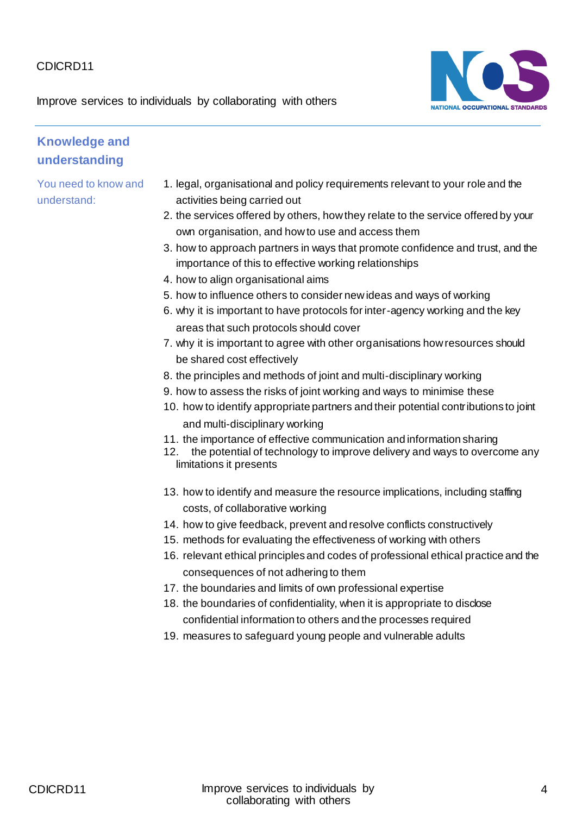Improve services to individuals by collaborating with others



## **Knowledge and understanding**

- 1. legal, organisational and policy requirements relevant to your role and the activities being carried out
- 2. the services offered by others, how they relate to the service offered by your own organisation, and how to use and access them
- 3. how to approach partners in ways that promote confidence and trust, and the importance of this to effective working relationships
- 4. how to align organisational aims
- 5. how to influence others to consider new ideas and ways of working
- 6. why it is important to have protocols for inter-agency working and the key areas that such protocols should cover
- 7. why it is important to agree with other organisations how resources should be shared cost effectively
- 8. the principles and methods of joint and multi-disciplinary working
- 9. how to assess the risks of joint working and ways to minimise these
- 10. how to identify appropriate partners and their potential contributions to joint and multi-disciplinary working
- 11. the importance of effective communication and information sharing
- 12. the potential of technology to improve delivery and ways to overcome any limitations it presents
- 13. how to identify and measure the resource implications, including staffing costs, of collaborative working
- 14. how to give feedback, prevent and resolve conflicts constructively
- 15. methods for evaluating the effectiveness of working with others
- 16. relevant ethical principles and codes of professional ethical practice and the consequences of not adhering to them
- 17. the boundaries and limits of own professional expertise
- 18. the boundaries of confidentiality, when it is appropriate to disclose confidential information to others and the processes required
- 19. measures to safeguard young people and vulnerable adults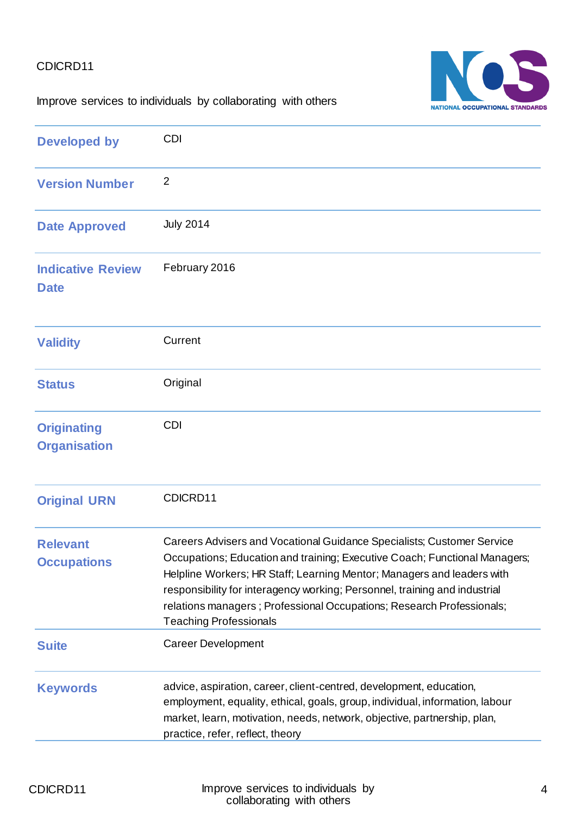

Improve services to individuals by collaborating with others

| <b>Developed by</b>                       | <b>CDI</b>                                                                                                                                                                                                                                                                                                                                                                                                             |
|-------------------------------------------|------------------------------------------------------------------------------------------------------------------------------------------------------------------------------------------------------------------------------------------------------------------------------------------------------------------------------------------------------------------------------------------------------------------------|
| <b>Version Number</b>                     | $\overline{2}$                                                                                                                                                                                                                                                                                                                                                                                                         |
| <b>Date Approved</b>                      | <b>July 2014</b>                                                                                                                                                                                                                                                                                                                                                                                                       |
| <b>Indicative Review</b><br><b>Date</b>   | February 2016                                                                                                                                                                                                                                                                                                                                                                                                          |
| <b>Validity</b>                           | Current                                                                                                                                                                                                                                                                                                                                                                                                                |
| <b>Status</b>                             | Original                                                                                                                                                                                                                                                                                                                                                                                                               |
| <b>Originating</b><br><b>Organisation</b> | CDI                                                                                                                                                                                                                                                                                                                                                                                                                    |
| <b>Original URN</b>                       | CDICRD11                                                                                                                                                                                                                                                                                                                                                                                                               |
| <b>Relevant</b><br><b>Occupations</b>     | Careers Advisers and Vocational Guidance Specialists; Customer Service<br>Occupations; Education and training; Executive Coach; Functional Managers;<br>Helpline Workers; HR Staff; Learning Mentor; Managers and leaders with<br>responsibility for interagency working; Personnel, training and industrial<br>relations managers; Professional Occupations; Research Professionals;<br><b>Teaching Professionals</b> |
| <b>Suite</b>                              | <b>Career Development</b>                                                                                                                                                                                                                                                                                                                                                                                              |
| <b>Keywords</b>                           | advice, aspiration, career, client-centred, development, education,<br>employment, equality, ethical, goals, group, individual, information, labour<br>market, learn, motivation, needs, network, objective, partnership, plan,<br>practice, refer, reflect, theory                                                                                                                                                    |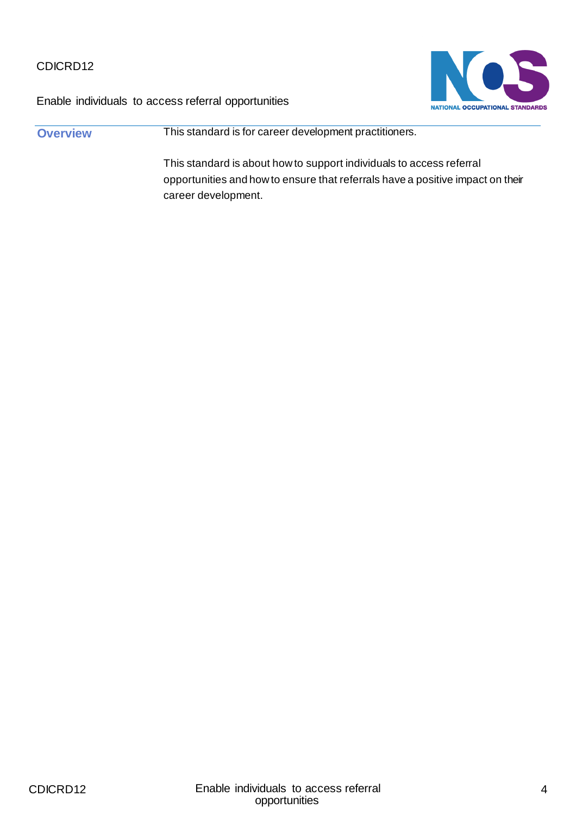



**Overview This standard is for career development practitioners.** This standard is about how to support individuals to access referral opportunities and how to ensure that referrals have a positive impact on their career development.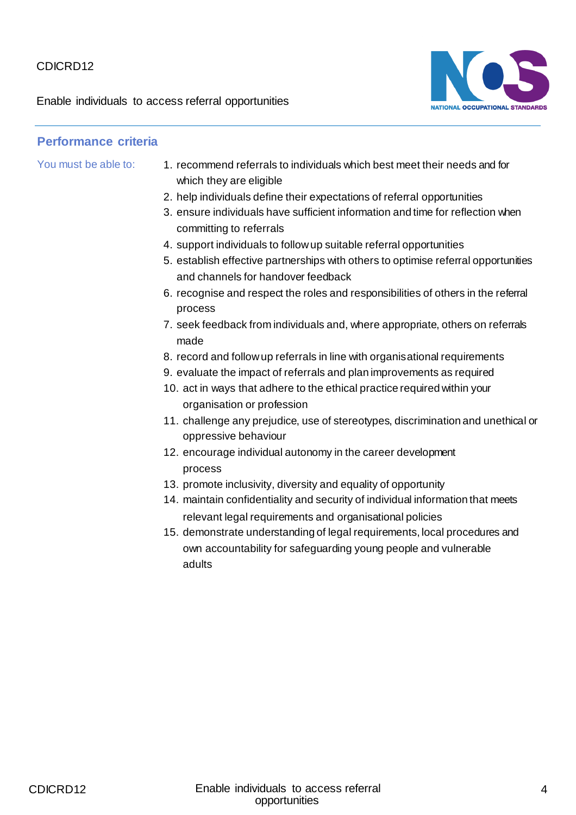Enable individuals to access referral opportunities



- You must be able to: 1. recommend referrals to individuals which best meet their needs and for which they are eligible
	- 2. help individuals define their expectations of referral opportunities
	- 3. ensure individuals have sufficient information and time for reflection when committing to referrals
	- 4. support individuals to follow up suitable referral opportunities
	- 5. establish effective partnerships with others to optimise referral opportunities and channels for handover feedback
	- 6. recognise and respect the roles and responsibilities of others in the referral process
	- 7. seek feedback from individuals and, where appropriate, others on referrals made
	- 8. record and follow up referrals in line with organisational requirements
	- 9. evaluate the impact of referrals and plan improvements as required
	- 10. act in ways that adhere to the ethical practice required within your organisation or profession
	- 11. challenge any prejudice, use of stereotypes, discrimination and unethical or oppressive behaviour
	- 12. encourage individual autonomy in the career development process
	- 13. promote inclusivity, diversity and equality of opportunity
	- 14. maintain confidentiality and security of individual information that meets relevant legal requirements and organisational policies
	- 15. demonstrate understanding of legal requirements, local procedures and own accountability for safeguarding young people and vulnerable adults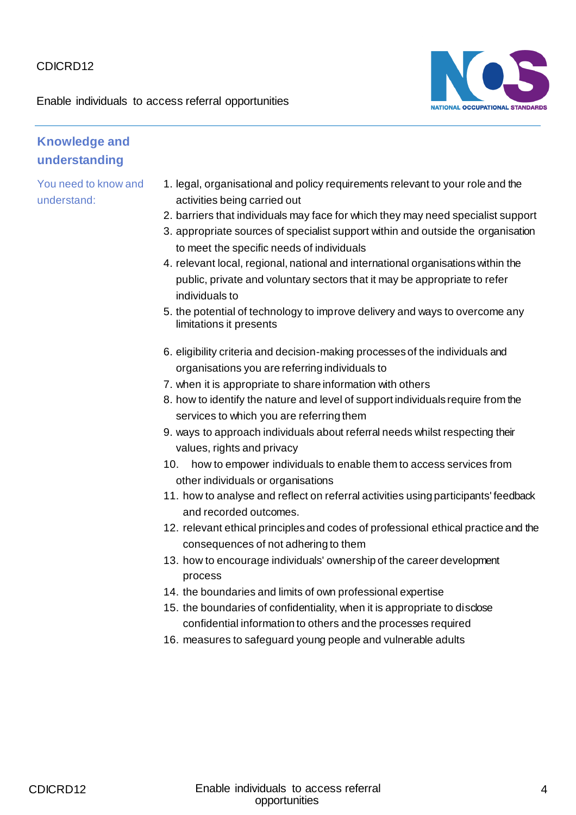Enable individuals to access referral opportunities



#### **Knowledge and understanding**

- 1. legal, organisational and policy requirements relevant to your role and the activities being carried out
- 2. barriers that individuals may face for which they may need specialist support
- 3. appropriate sources of specialist support within and outside the organisation to meet the specific needs of individuals
- 4. relevant local, regional, national and international organisations within the public, private and voluntary sectors that it may be appropriate to refer individuals to
- 5. the potential of technology to improve delivery and ways to overcome any limitations it presents
- 6. eligibility criteria and decision-making processes of the individuals and organisations you are referring individuals to
- 7. when it is appropriate to share information with others
- 8. how to identify the nature and level of support individuals require from the services to which you are referring them
- 9. ways to approach individuals about referral needs whilst respecting their values, rights and privacy
- 10. how to empower individuals to enable them to access services from other individuals or organisations
- 11. how to analyse and reflect on referral activities using participants' feedback and recorded outcomes.
- 12. relevant ethical principles and codes of professional ethical practice and the consequences of not adhering to them
- 13. how to encourage individuals' ownership of the career development process
- 14. the boundaries and limits of own professional expertise
- 15. the boundaries of confidentiality, when it is appropriate to disclose confidential information to others and the processes required
- 16. measures to safeguard young people and vulnerable adults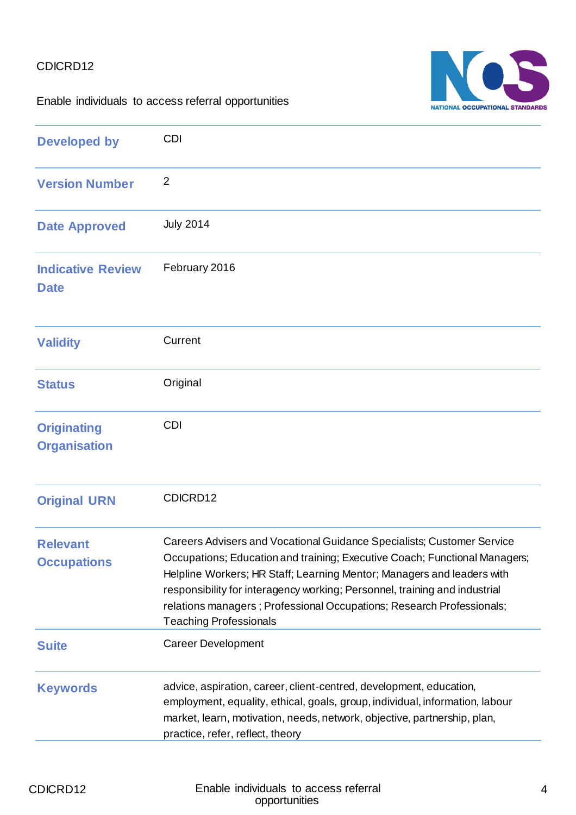

Enable individuals to access referral opportunities

| <b>Developed by</b>                       | <b>CDI</b>                                                                                                                                                                                                                                                                                                                                                                                                             |
|-------------------------------------------|------------------------------------------------------------------------------------------------------------------------------------------------------------------------------------------------------------------------------------------------------------------------------------------------------------------------------------------------------------------------------------------------------------------------|
| <b>Version Number</b>                     | $\overline{2}$                                                                                                                                                                                                                                                                                                                                                                                                         |
| <b>Date Approved</b>                      | <b>July 2014</b>                                                                                                                                                                                                                                                                                                                                                                                                       |
| <b>Indicative Review</b><br><b>Date</b>   | February 2016                                                                                                                                                                                                                                                                                                                                                                                                          |
| <b>Validity</b>                           | Current                                                                                                                                                                                                                                                                                                                                                                                                                |
| <b>Status</b>                             | Original                                                                                                                                                                                                                                                                                                                                                                                                               |
| <b>Originating</b><br><b>Organisation</b> | <b>CDI</b>                                                                                                                                                                                                                                                                                                                                                                                                             |
| <b>Original URN</b>                       | CDICRD12                                                                                                                                                                                                                                                                                                                                                                                                               |
| <b>Relevant</b><br><b>Occupations</b>     | Careers Advisers and Vocational Guidance Specialists; Customer Service<br>Occupations; Education and training; Executive Coach; Functional Managers;<br>Helpline Workers; HR Staff; Learning Mentor; Managers and leaders with<br>responsibility for interagency working; Personnel, training and industrial<br>relations managers; Professional Occupations; Research Professionals;<br><b>Teaching Professionals</b> |
| <b>Suite</b>                              | <b>Career Development</b>                                                                                                                                                                                                                                                                                                                                                                                              |
| <b>Keywords</b>                           | advice, aspiration, career, client-centred, development, education,<br>employment, equality, ethical, goals, group, individual, information, labour<br>market, learn, motivation, needs, network, objective, partnership, plan,<br>practice, refer, reflect, theory                                                                                                                                                    |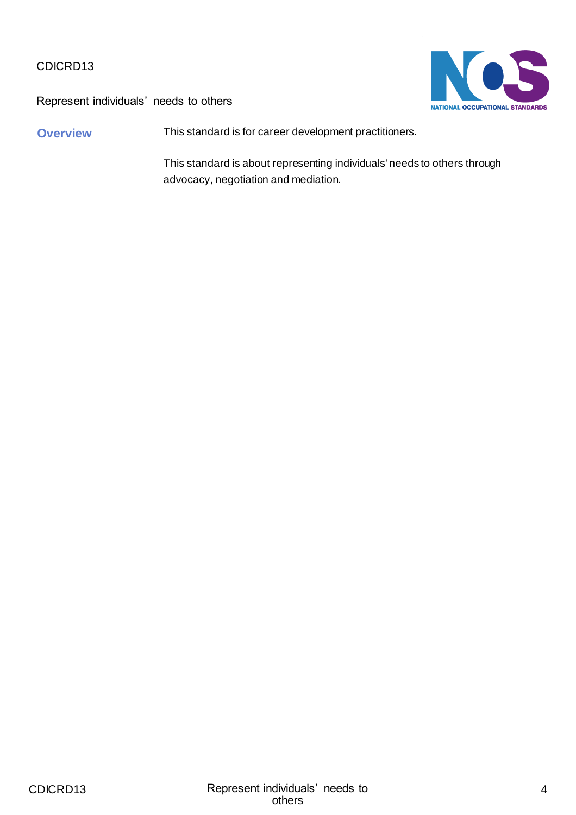



**Overview This standard is for career development practitioners.** 

This standard is about representing individuals' needs to others through advocacy, negotiation and mediation.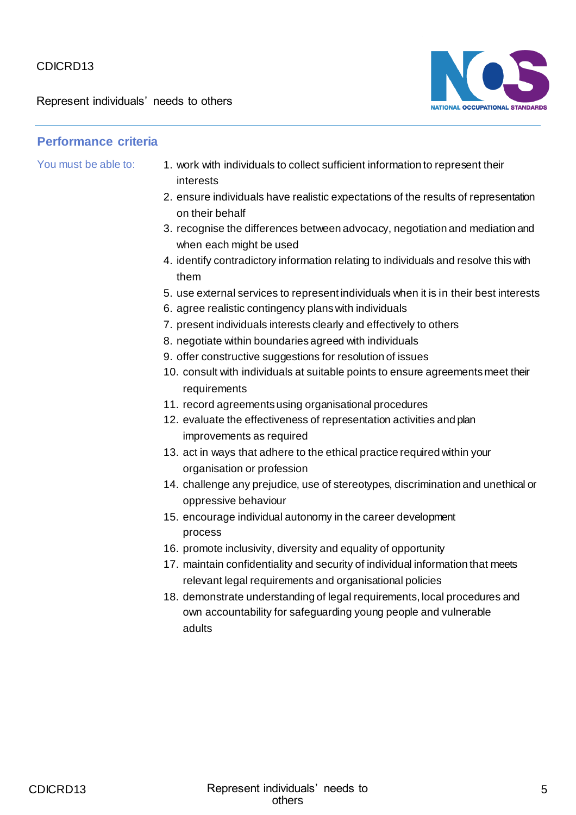Represent individuals' needs to others



- You must be able to: 1. work with individuals to collect sufficient information to represent their interests
	- 2. ensure individuals have realistic expectations of the results of representation on their behalf
	- 3. recognise the differences between advocacy, negotiation and mediation and when each might be used
	- 4. identify contradictory information relating to individuals and resolve this with them
	- 5. use external services to represent individuals when it is in their best interests
	- 6. agree realistic contingency plans with individuals
	- 7. present individuals interests clearly and effectively to others
	- 8. negotiate within boundaries agreed with individuals
	- 9. offer constructive suggestions for resolution of issues
	- 10. consult with individuals at suitable points to ensure agreements meet their requirements
	- 11. record agreements using organisational procedures
	- 12. evaluate the effectiveness of representation activities and plan improvements as required
	- 13. act in ways that adhere to the ethical practice required within your organisation or profession
	- 14. challenge any prejudice, use of stereotypes, discrimination and unethical or oppressive behaviour
	- 15. encourage individual autonomy in the career development process
	- 16. promote inclusivity, diversity and equality of opportunity
	- 17. maintain confidentiality and security of individual information that meets relevant legal requirements and organisational policies
	- 18. demonstrate understanding of legal requirements, local procedures and own accountability for safeguarding young people and vulnerable adults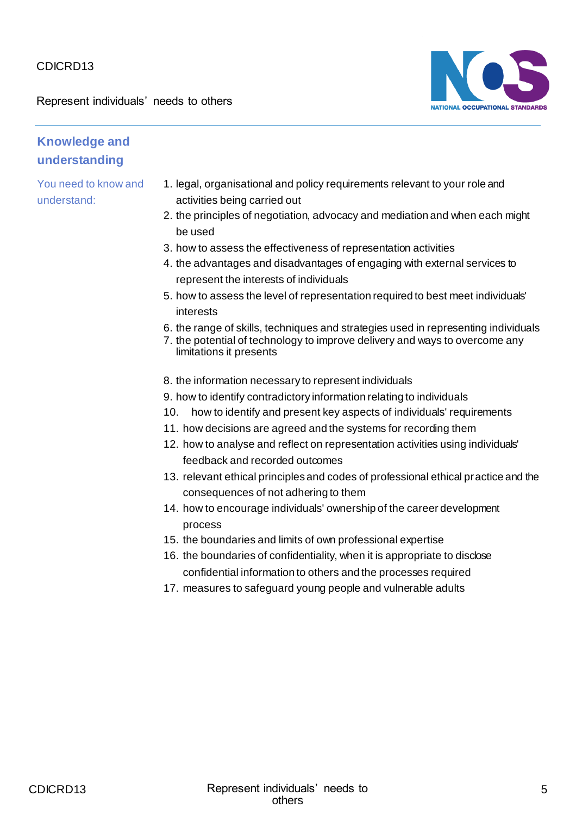Represent individuals' needs to others



#### **Knowledge and understanding**

- 1. legal, organisational and policy requirements relevant to your role and activities being carried out
- 2. the principles of negotiation, advocacy and mediation and when each might be used
- 3. how to assess the effectiveness of representation activities
- 4. the advantages and disadvantages of engaging with external services to represent the interests of individuals
- 5. how to assess the level of representation required to best meet individuals' interests
- 6. the range of skills, techniques and strategies used in representing individuals
- 7. the potential of technology to improve delivery and ways to overcome any limitations it presents
- 8. the information necessary to represent individuals
- 9. how to identify contradictory information relating to individuals
- 10. how to identify and present key aspects of individuals' requirements
- 11. how decisions are agreed and the systems for recording them
- 12. how to analyse and reflect on representation activities using individuals' feedback and recorded outcomes
- 13. relevant ethical principles and codes of professional ethical practice and the consequences of not adhering to them
- 14. how to encourage individuals' ownership of the career development process
- 15. the boundaries and limits of own professional expertise
- 16. the boundaries of confidentiality, when it is appropriate to disclose confidential information to others and the processes required
- 17. measures to safeguard young people and vulnerable adults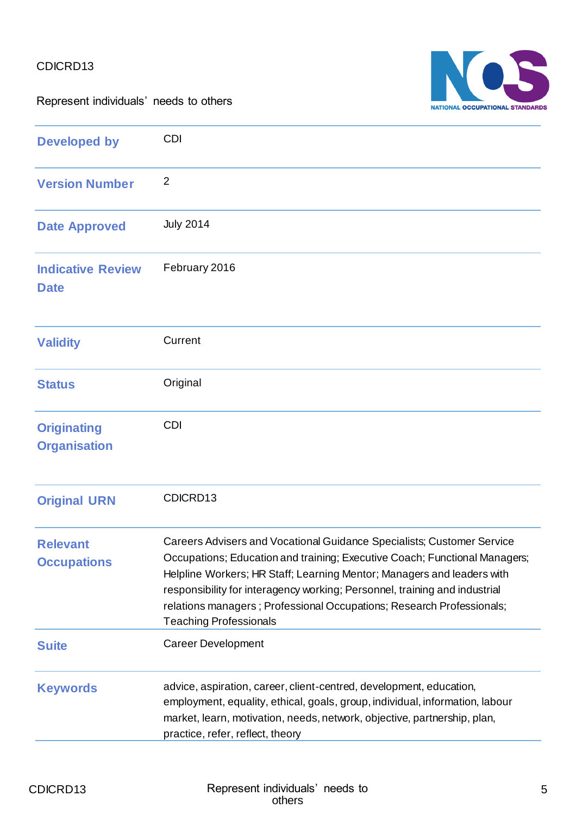Represent individuals' needs to others



| <b>Developed by</b>                       | <b>CDI</b>                                                                                                                                                                                                                                                                                                                                                                                                             |
|-------------------------------------------|------------------------------------------------------------------------------------------------------------------------------------------------------------------------------------------------------------------------------------------------------------------------------------------------------------------------------------------------------------------------------------------------------------------------|
| <b>Version Number</b>                     | $\overline{2}$                                                                                                                                                                                                                                                                                                                                                                                                         |
| <b>Date Approved</b>                      | <b>July 2014</b>                                                                                                                                                                                                                                                                                                                                                                                                       |
| <b>Indicative Review</b><br><b>Date</b>   | February 2016                                                                                                                                                                                                                                                                                                                                                                                                          |
| <b>Validity</b>                           | Current                                                                                                                                                                                                                                                                                                                                                                                                                |
| <b>Status</b>                             | Original                                                                                                                                                                                                                                                                                                                                                                                                               |
| <b>Originating</b><br><b>Organisation</b> | <b>CDI</b>                                                                                                                                                                                                                                                                                                                                                                                                             |
| <b>Original URN</b>                       | CDICRD13                                                                                                                                                                                                                                                                                                                                                                                                               |
| <b>Relevant</b><br><b>Occupations</b>     | Careers Advisers and Vocational Guidance Specialists; Customer Service<br>Occupations; Education and training; Executive Coach; Functional Managers;<br>Helpline Workers; HR Staff; Learning Mentor; Managers and leaders with<br>responsibility for interagency working; Personnel, training and industrial<br>relations managers; Professional Occupations; Research Professionals;<br><b>Teaching Professionals</b> |
| <b>Suite</b>                              | <b>Career Development</b>                                                                                                                                                                                                                                                                                                                                                                                              |
| <b>Keywords</b>                           | advice, aspiration, career, client-centred, development, education,<br>employment, equality, ethical, goals, group, individual, information, labour<br>market, learn, motivation, needs, network, objective, partnership, plan,<br>practice, refer, reflect, theory                                                                                                                                                    |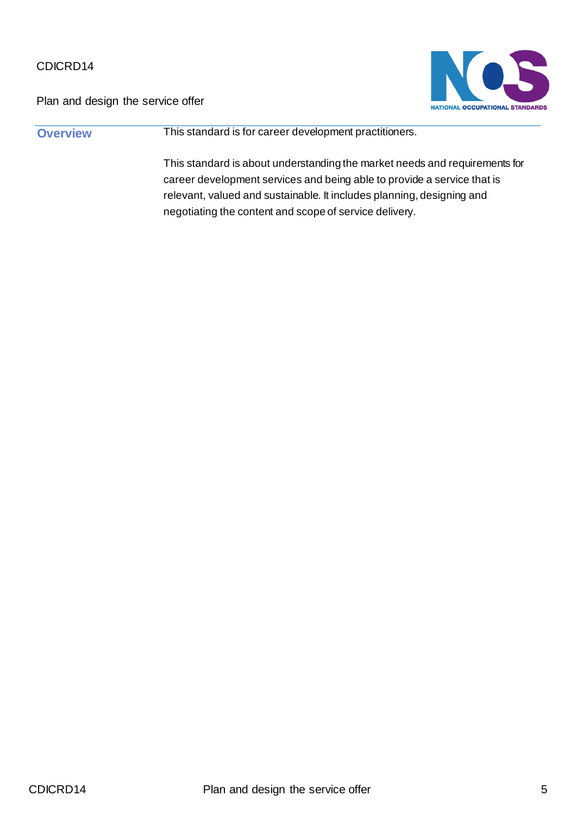Plan and design the service offer



**Overview This standard is for career development practitioners.** 

This standard is about understanding the market needs and requirements for career development services and being able to provide a service that is relevant, valued and sustainable. It includes planning, designing and negotiating the content and scope of service delivery.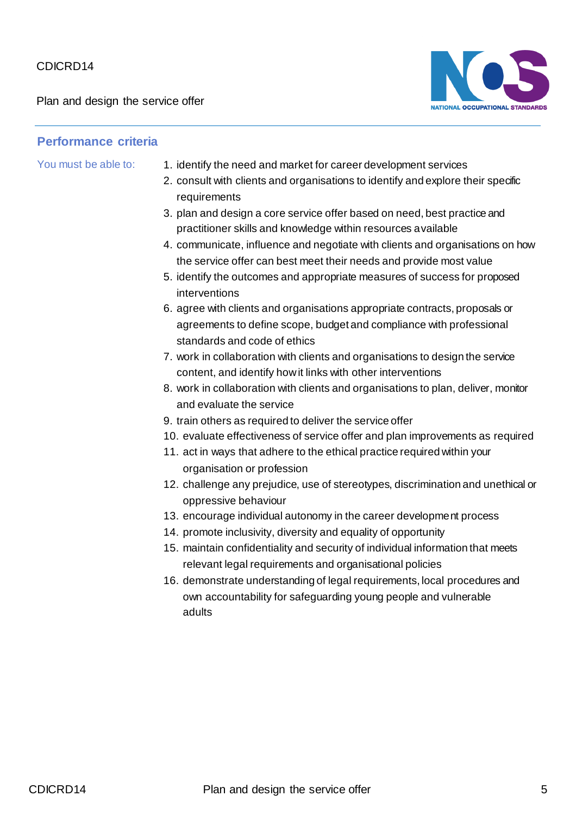Plan and design the service offer



- You must be able to: 1. identify the need and market for career development services
	- 2. consult with clients and organisations to identify and explore their specific requirements
	- 3. plan and design a core service offer based on need, best practice and practitioner skills and knowledge within resources available
	- 4. communicate, influence and negotiate with clients and organisations on how the service offer can best meet their needs and provide most value
	- 5. identify the outcomes and appropriate measures of success for proposed interventions
	- 6. agree with clients and organisations appropriate contracts, proposals or agreements to define scope, budget and compliance with professional standards and code of ethics
	- 7. work in collaboration with clients and organisations to design the service content, and identify how it links with other interventions
	- 8. work in collaboration with clients and organisations to plan, deliver, monitor and evaluate the service
	- 9. train others as required to deliver the service offer
	- 10. evaluate effectiveness of service offer and plan improvements as required
	- 11. act in ways that adhere to the ethical practice required within your organisation or profession
	- 12. challenge any prejudice, use of stereotypes, discrimination and unethical or oppressive behaviour
	- 13. encourage individual autonomy in the career development process
	- 14. promote inclusivity, diversity and equality of opportunity
	- 15. maintain confidentiality and security of individual information that meets relevant legal requirements and organisational policies
	- 16. demonstrate understanding of legal requirements, local procedures and own accountability for safeguarding young people and vulnerable adults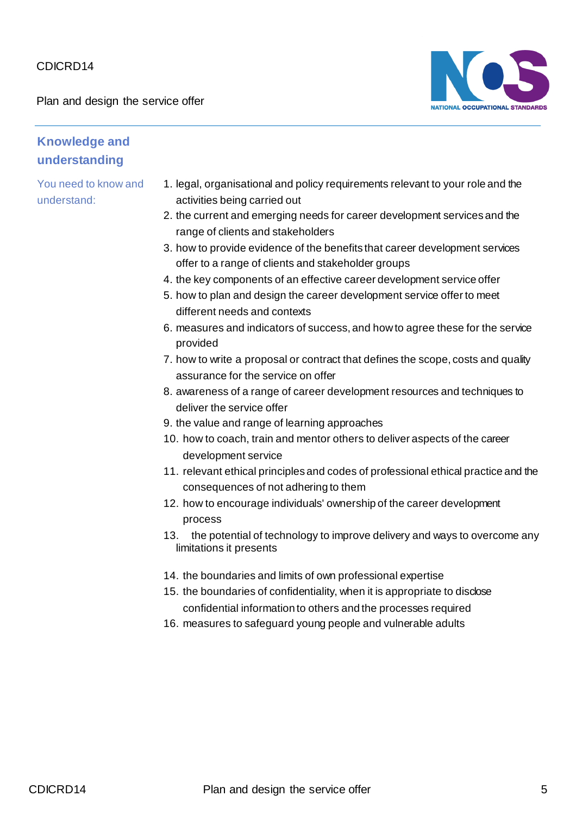Plan and design the service offer



#### **Knowledge and understanding**

- 1. legal, organisational and policy requirements relevant to your role and the activities being carried out
- 2. the current and emerging needs for career development services and the range of clients and stakeholders
- 3. how to provide evidence of the benefits that career development services offer to a range of clients and stakeholder groups
- 4. the key components of an effective career development service offer
- 5. how to plan and design the career development service offer to meet different needs and contexts
- 6. measures and indicators of success, and how to agree these for the service provided
- 7. how to write a proposal or contract that defines the scope, costs and quality assurance for the service on offer
- 8. awareness of a range of career development resources and techniques to deliver the service offer
- 9. the value and range of learning approaches
- 10. how to coach, train and mentor others to deliver aspects of the career development service
- 11. relevant ethical principles and codes of professional ethical practice and the consequences of not adhering to them
- 12. how to encourage individuals' ownership of the career development process
- 13. the potential of technology to improve delivery and ways to overcome any limitations it presents
- 14. the boundaries and limits of own professional expertise
- 15. the boundaries of confidentiality, when it is appropriate to disclose confidential information to others and the processes required
- 16. measures to safeguard young people and vulnerable adults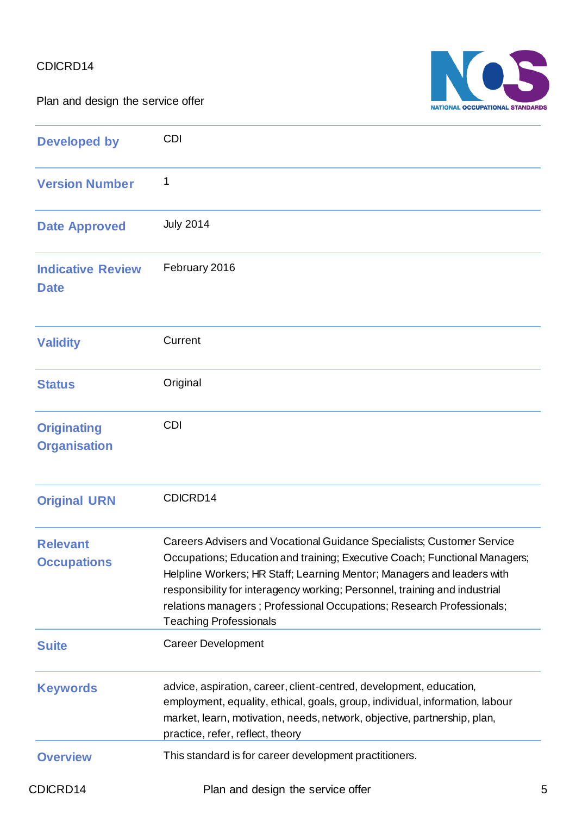Plan and design the service offer



| <b>Developed by</b>                       | <b>CDI</b>                                                                                                                                                                                                                                                                                                                                                                                                             |
|-------------------------------------------|------------------------------------------------------------------------------------------------------------------------------------------------------------------------------------------------------------------------------------------------------------------------------------------------------------------------------------------------------------------------------------------------------------------------|
| <b>Version Number</b>                     | 1                                                                                                                                                                                                                                                                                                                                                                                                                      |
| <b>Date Approved</b>                      | <b>July 2014</b>                                                                                                                                                                                                                                                                                                                                                                                                       |
| <b>Indicative Review</b><br><b>Date</b>   | February 2016                                                                                                                                                                                                                                                                                                                                                                                                          |
| <b>Validity</b>                           | Current                                                                                                                                                                                                                                                                                                                                                                                                                |
| <b>Status</b>                             | Original                                                                                                                                                                                                                                                                                                                                                                                                               |
| <b>Originating</b><br><b>Organisation</b> | <b>CDI</b>                                                                                                                                                                                                                                                                                                                                                                                                             |
| <b>Original URN</b>                       | CDICRD14                                                                                                                                                                                                                                                                                                                                                                                                               |
| <b>Relevant</b><br><b>Occupations</b>     | Careers Advisers and Vocational Guidance Specialists; Customer Service<br>Occupations; Education and training; Executive Coach; Functional Managers;<br>Helpline Workers; HR Staff; Learning Mentor; Managers and leaders with<br>responsibility for interagency working; Personnel, training and industrial<br>relations managers; Professional Occupations; Research Professionals;<br><b>Teaching Professionals</b> |
| <b>Suite</b>                              | <b>Career Development</b>                                                                                                                                                                                                                                                                                                                                                                                              |
| <b>Keywords</b>                           | advice, aspiration, career, client-centred, development, education,<br>employment, equality, ethical, goals, group, individual, information, labour<br>market, learn, motivation, needs, network, objective, partnership, plan,<br>practice, refer, reflect, theory                                                                                                                                                    |
| <b>Overview</b>                           | This standard is for career development practitioners.                                                                                                                                                                                                                                                                                                                                                                 |
| CDICRD14                                  | Plan and design the service offer                                                                                                                                                                                                                                                                                                                                                                                      |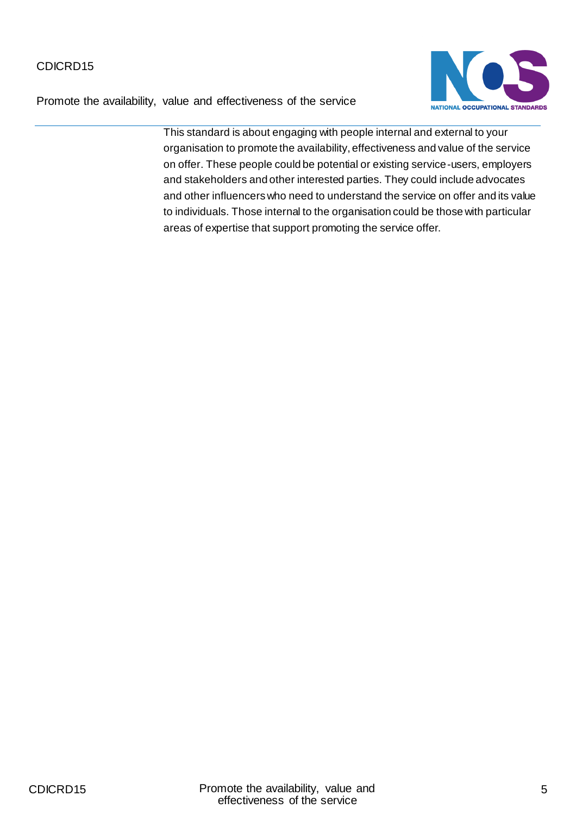Promote the availability, value and effectiveness of the service



This standard is about engaging with people internal and external to your organisation to promote the availability, effectiveness and value of the service on offer. These people could be potential or existing service-users, employers and stakeholders and other interested parties. They could include advocates and other influencers who need to understand the service on offer and its value to individuals. Those internal to the organisation could be those with particular areas of expertise that support promoting the service offer.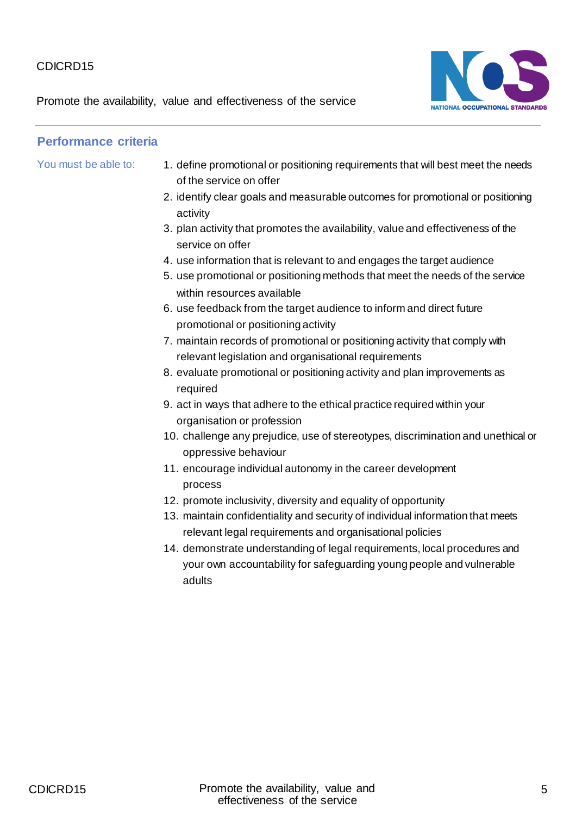Promote the availability, value and effectiveness of the service



- You must be able to: 1. define promotional or positioning requirements that will best meet the needs of the service on offer
	- 2. identify clear goals and measurable outcomes for promotional or positioning activity
	- 3. plan activity that promotes the availability, value and effectiveness of the service on offer
	- 4. use information that is relevant to and engages the target audience
	- 5. use promotional or positioning methods that meet the needs of the service within resources available
	- 6. use feedback from the target audience to inform and direct future promotional or positioning activity
	- 7. maintain records of promotional or positioning activity that comply with relevant legislation and organisational requirements
	- 8. evaluate promotional or positioning activity and plan improvements as required
	- 9. act in ways that adhere to the ethical practice required within your organisation or profession
	- 10. challenge any prejudice, use of stereotypes, discrimination and unethical or oppressive behaviour
	- 11. encourage individual autonomy in the career development process
	- 12. promote inclusivity, diversity and equality of opportunity
	- 13. maintain confidentiality and security of individual information that meets relevant legal requirements and organisational policies
	- 14. demonstrate understanding of legal requirements, local procedures and your own accountability for safeguarding young people and vulnerable adults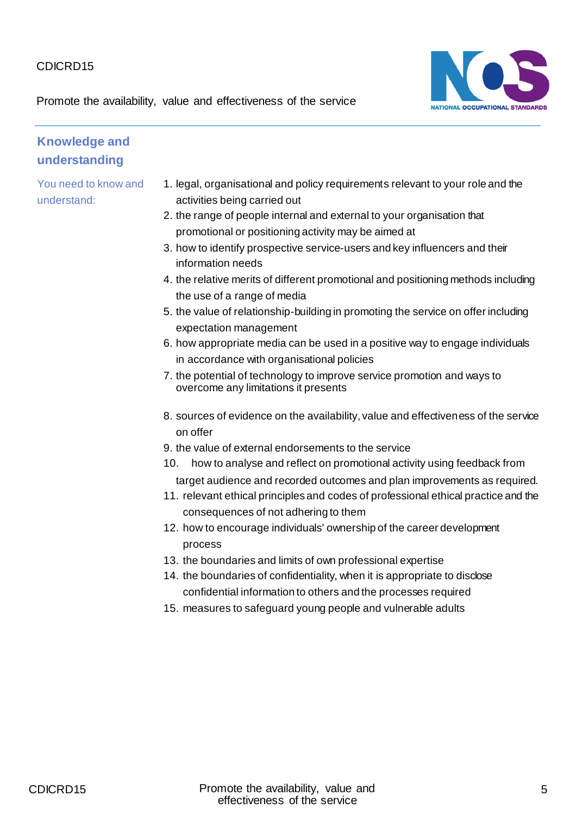

Promote the availability, value and effectiveness of the service

## **Knowledge and understanding**

- 1. legal, organisational and policy requirements relevant to your role and the activities being carried out
- 2. the range of people internal and external to your organisation that promotional or positioning activity may be aimed at
- 3. how to identify prospective service-users and key influencers and their information needs
- 4. the relative merits of different promotional and positioning methods including the use of a range of media
- 5. the value of relationship-building in promoting the service on offer including expectation management
- 6. how appropriate media can be used in a positive way to engage individuals in accordance with organisational policies
- 7. the potential of technology to improve service promotion and ways to overcome any limitations it presents
- 8. sources of evidence on the availability, value and effectiveness of the service on offer
- 9. the value of external endorsements to the service
- 10. how to analyse and reflect on promotional activity using feedback from target audience and recorded outcomes and plan improvements as required.
- 11. relevant ethical principles and codes of professional ethical practice and the consequences of not adhering to them
- 12. how to encourage individuals' ownership of the career development process
- 13. the boundaries and limits of own professional expertise
- 14. the boundaries of confidentiality, when it is appropriate to disclose confidential information to others and the processes required
- 15. measures to safeguard young people and vulnerable adults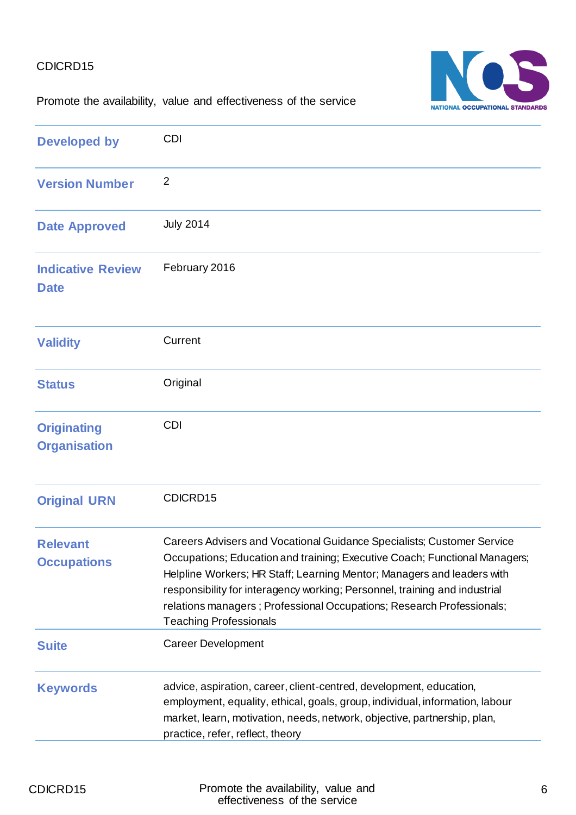

Promote the availability, value and effectiveness of the service

| <b>Developed by</b>                       | <b>CDI</b>                                                                                                                                                                                                                                                                                                                                                                                                             |
|-------------------------------------------|------------------------------------------------------------------------------------------------------------------------------------------------------------------------------------------------------------------------------------------------------------------------------------------------------------------------------------------------------------------------------------------------------------------------|
| <b>Version Number</b>                     | $\overline{2}$                                                                                                                                                                                                                                                                                                                                                                                                         |
| <b>Date Approved</b>                      | <b>July 2014</b>                                                                                                                                                                                                                                                                                                                                                                                                       |
| <b>Indicative Review</b><br><b>Date</b>   | February 2016                                                                                                                                                                                                                                                                                                                                                                                                          |
| <b>Validity</b>                           | Current                                                                                                                                                                                                                                                                                                                                                                                                                |
| <b>Status</b>                             | Original                                                                                                                                                                                                                                                                                                                                                                                                               |
| <b>Originating</b><br><b>Organisation</b> | <b>CDI</b>                                                                                                                                                                                                                                                                                                                                                                                                             |
| <b>Original URN</b>                       | CDICRD15                                                                                                                                                                                                                                                                                                                                                                                                               |
| <b>Relevant</b><br><b>Occupations</b>     | Careers Advisers and Vocational Guidance Specialists; Customer Service<br>Occupations; Education and training; Executive Coach; Functional Managers;<br>Helpline Workers; HR Staff; Learning Mentor; Managers and leaders with<br>responsibility for interagency working; Personnel, training and industrial<br>relations managers; Professional Occupations; Research Professionals;<br><b>Teaching Professionals</b> |
| <b>Suite</b>                              | <b>Career Development</b>                                                                                                                                                                                                                                                                                                                                                                                              |
| <b>Keywords</b>                           | advice, aspiration, career, client-centred, development, education,<br>employment, equality, ethical, goals, group, individual, information, labour<br>market, learn, motivation, needs, network, objective, partnership, plan,<br>practice, refer, reflect, theory                                                                                                                                                    |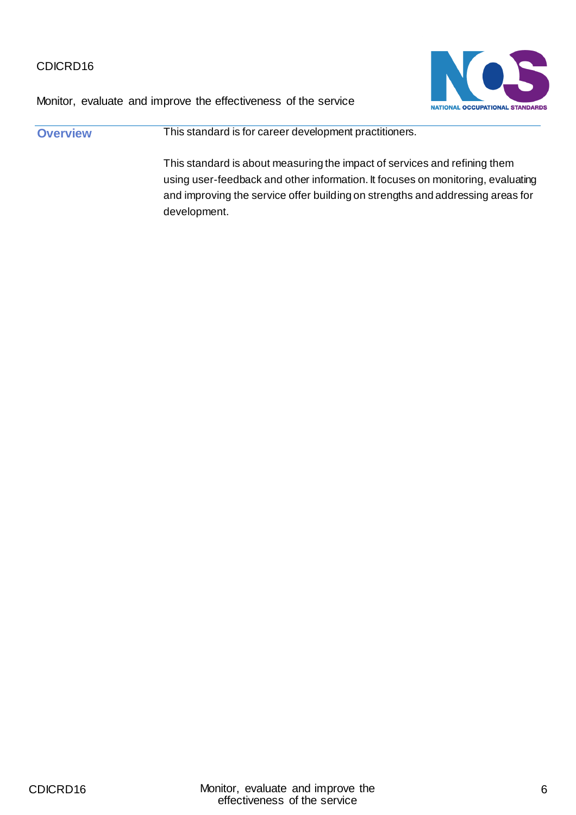

Monitor, evaluate and improve the effectiveness of the service

**Overview This standard is for career development practitioners.** This standard is about measuring the impact of services and refining them using user-feedback and other information. It focuses on monitoring, evaluating and improving the service offer building on strengths and addressing areas for development.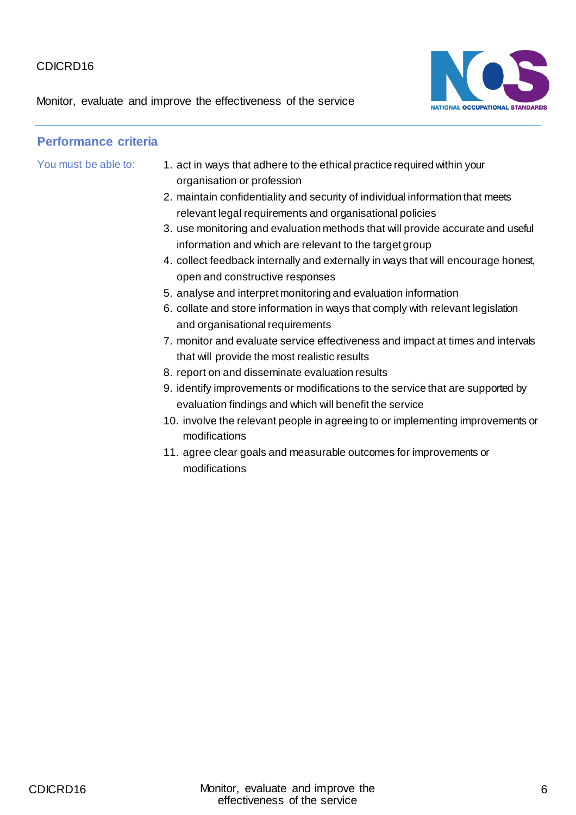Monitor, evaluate and improve the effectiveness of the service



- You must be able to: 1. act in ways that adhere to the ethical practice required within your organisation or profession
	- 2. maintain confidentiality and security of individual information that meets relevant legal requirements and organisational policies
	- 3. use monitoring and evaluation methods that will provide accurate and useful information and which are relevant to the target group
	- 4. collect feedback internally and externally in ways that will encourage honest, open and constructive responses
	- 5. analyse and interpret monitoring and evaluation information
	- 6. collate and store information in ways that comply with relevant legislation and organisational requirements
	- 7. monitor and evaluate service effectiveness and impact at times and intervals that will provide the most realistic results
	- 8. report on and disseminate evaluation results
	- 9. identify improvements or modifications to the service that are supported by evaluation findings and which will benefit the service
	- 10. involve the relevant people in agreeing to or implementing improvements or modifications
	- 11. agree clear goals and measurable outcomes for improvements or modifications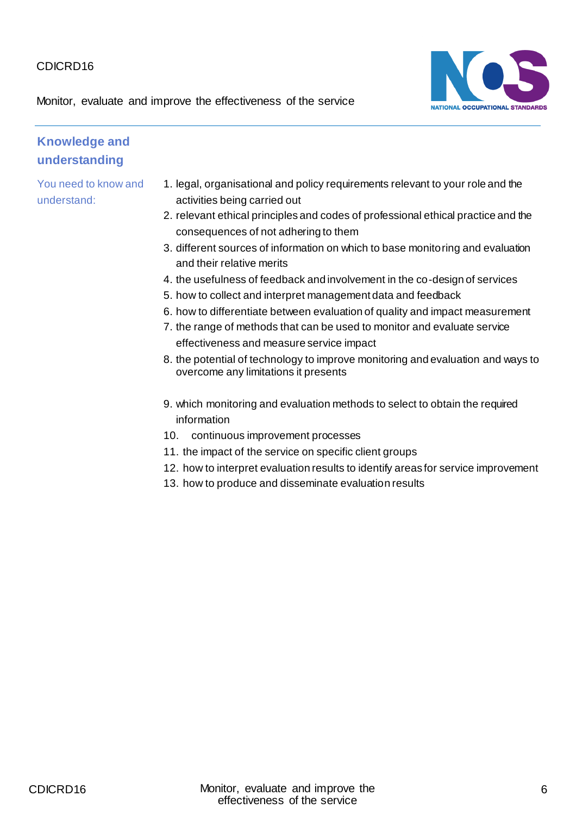NATIONAL OCCUPATIONAL STANDARDS

Monitor, evaluate and improve the effectiveness of the service

## **Knowledge and understanding**

- 1. legal, organisational and policy requirements relevant to your role and the activities being carried out
- 2. relevant ethical principles and codes of professional ethical practice and the consequences of not adhering to them
- 3. different sources of information on which to base monitoring and evaluation and their relative merits
- 4. the usefulness of feedback and involvement in the co-design of services
- 5. how to collect and interpret management data and feedback
- 6. how to differentiate between evaluation of quality and impact measurement
- 7. the range of methods that can be used to monitor and evaluate service effectiveness and measure service impact
- 8. the potential of technology to improve monitoring and evaluation and ways to overcome any limitations it presents
- 9. which monitoring and evaluation methods to select to obtain the required information
- 10. continuous improvement processes
- 11. the impact of the service on specific client groups
- 12. how to interpret evaluation results to identify areas for service improvement
- 13. how to produce and disseminate evaluation results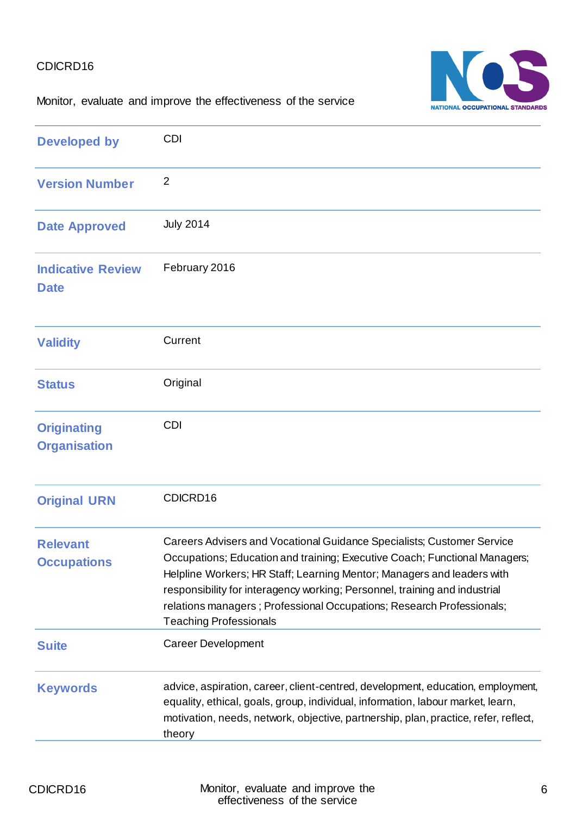# NATIONAL OCCUPATIONAL STANDARDS

Monitor, evaluate and improve the effectiveness of the service

| <b>Developed by</b>                       | <b>CDI</b>                                                                                                                                                                                                                                                                                                                                                                                                             |
|-------------------------------------------|------------------------------------------------------------------------------------------------------------------------------------------------------------------------------------------------------------------------------------------------------------------------------------------------------------------------------------------------------------------------------------------------------------------------|
| <b>Version Number</b>                     | $\overline{2}$                                                                                                                                                                                                                                                                                                                                                                                                         |
| <b>Date Approved</b>                      | <b>July 2014</b>                                                                                                                                                                                                                                                                                                                                                                                                       |
| <b>Indicative Review</b><br><b>Date</b>   | February 2016                                                                                                                                                                                                                                                                                                                                                                                                          |
| <b>Validity</b>                           | Current                                                                                                                                                                                                                                                                                                                                                                                                                |
| <b>Status</b>                             | Original                                                                                                                                                                                                                                                                                                                                                                                                               |
| <b>Originating</b><br><b>Organisation</b> | <b>CDI</b>                                                                                                                                                                                                                                                                                                                                                                                                             |
| <b>Original URN</b>                       | CDICRD16                                                                                                                                                                                                                                                                                                                                                                                                               |
| <b>Relevant</b><br><b>Occupations</b>     | Careers Advisers and Vocational Guidance Specialists; Customer Service<br>Occupations; Education and training; Executive Coach; Functional Managers;<br>Helpline Workers; HR Staff; Learning Mentor; Managers and leaders with<br>responsibility for interagency working; Personnel, training and industrial<br>relations managers; Professional Occupations; Research Professionals;<br><b>Teaching Professionals</b> |
| <b>Suite</b>                              | <b>Career Development</b>                                                                                                                                                                                                                                                                                                                                                                                              |
| <b>Keywords</b>                           | advice, aspiration, career, client-centred, development, education, employment,<br>equality, ethical, goals, group, individual, information, labour market, learn,<br>motivation, needs, network, objective, partnership, plan, practice, refer, reflect,<br>theory                                                                                                                                                    |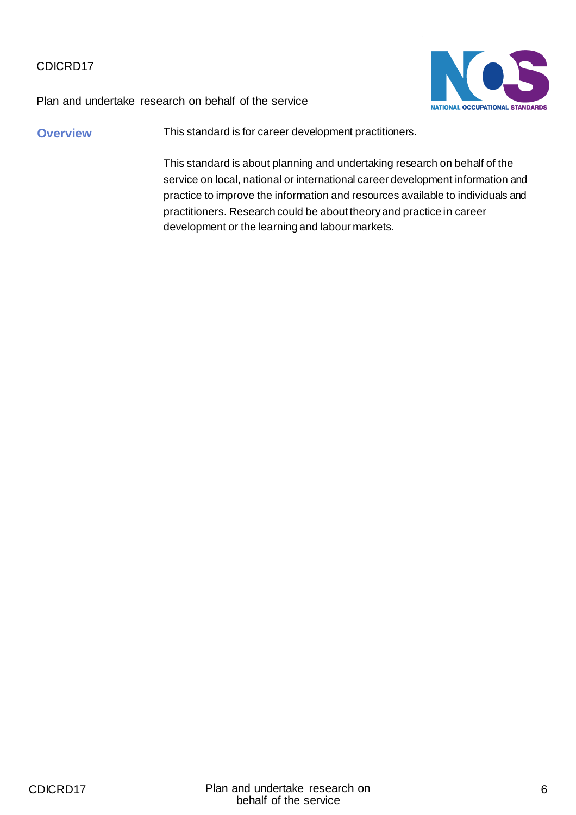



**Overview This standard is for career development practitioners.** This standard is about planning and undertaking research on behalf of the service on local, national or international career development information and practice to improve the information and resources available to individuals and practitioners. Research could be about theory and practice in career development or the learning and labour markets.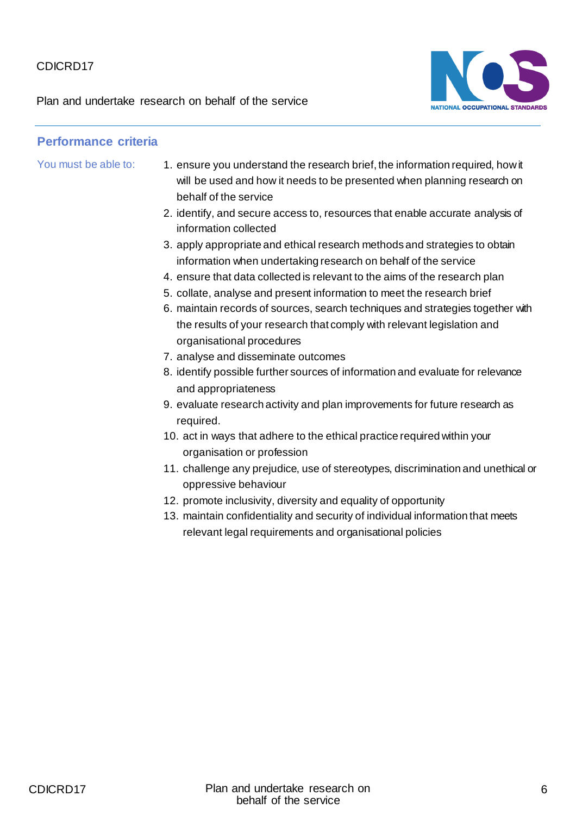Plan and undertake research on behalf of the service



# **Performance criteria** You must be able to: 1. ensure you understand the research brief, the information required, how it will be used and how it needs to be presented when planning research on behalf of the service 2. identify, and secure access to, resources that enable accurate analysis of information collected 3. apply appropriate and ethical research methods and strategies to obtain information when undertaking research on behalf of the service 4. ensure that data collected is relevant to the aims of the research plan 5. collate, analyse and present information to meet the research brief 6. maintain records of sources, search techniques and strategies together with the results of your research that comply with relevant legislation and organisational procedures 7. analyse and disseminate outcomes 8. identify possible further sources of information and evaluate for relevance and appropriateness 9. evaluate research activity and plan improvements for future research as required. 10. act in ways that adhere to the ethical practice required within your organisation or profession 11. challenge any prejudice, use of stereotypes, discrimination and unethical or oppressive behaviour 12. promote inclusivity, diversity and equality of opportunity 13. maintain confidentiality and security of individual information that meets relevant legal requirements and organisational policies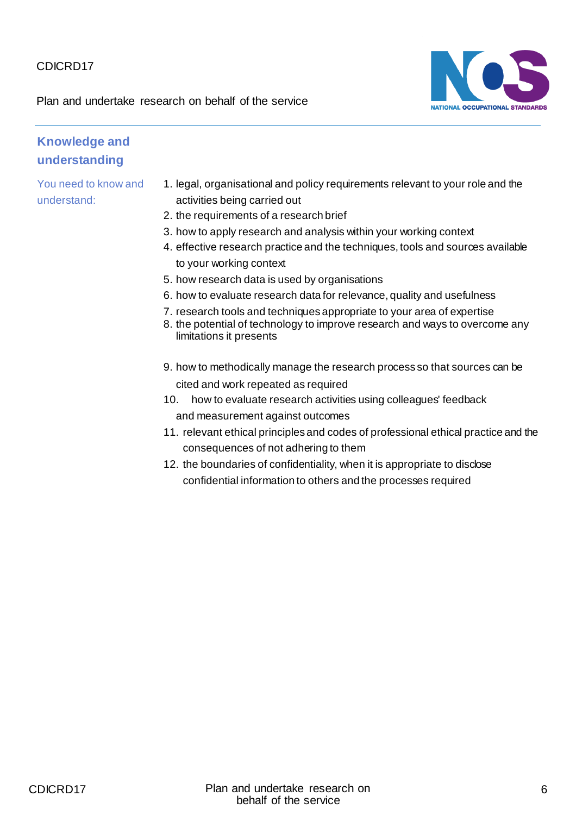Plan and undertake research on behalf of the service



#### **Knowledge and understanding**

- 1. legal, organisational and policy requirements relevant to your role and the activities being carried out
- 2. the requirements of a research brief
- 3. how to apply research and analysis within your working context
- 4. effective research practice and the techniques, tools and sources available to your working context
- 5. how research data is used by organisations
- 6. how to evaluate research data for relevance, quality and usefulness
- 7. research tools and techniques appropriate to your area of expertise
- 8. the potential of technology to improve research and ways to overcome any limitations it presents
- 9. how to methodically manage the research process so that sources can be cited and work repeated as required
- 10. how to evaluate research activities using colleagues' feedback and measurement against outcomes
- 11. relevant ethical principles and codes of professional ethical practice and the consequences of not adhering to them
- 12. the boundaries of confidentiality, when it is appropriate to disclose confidential information to others and the processes required